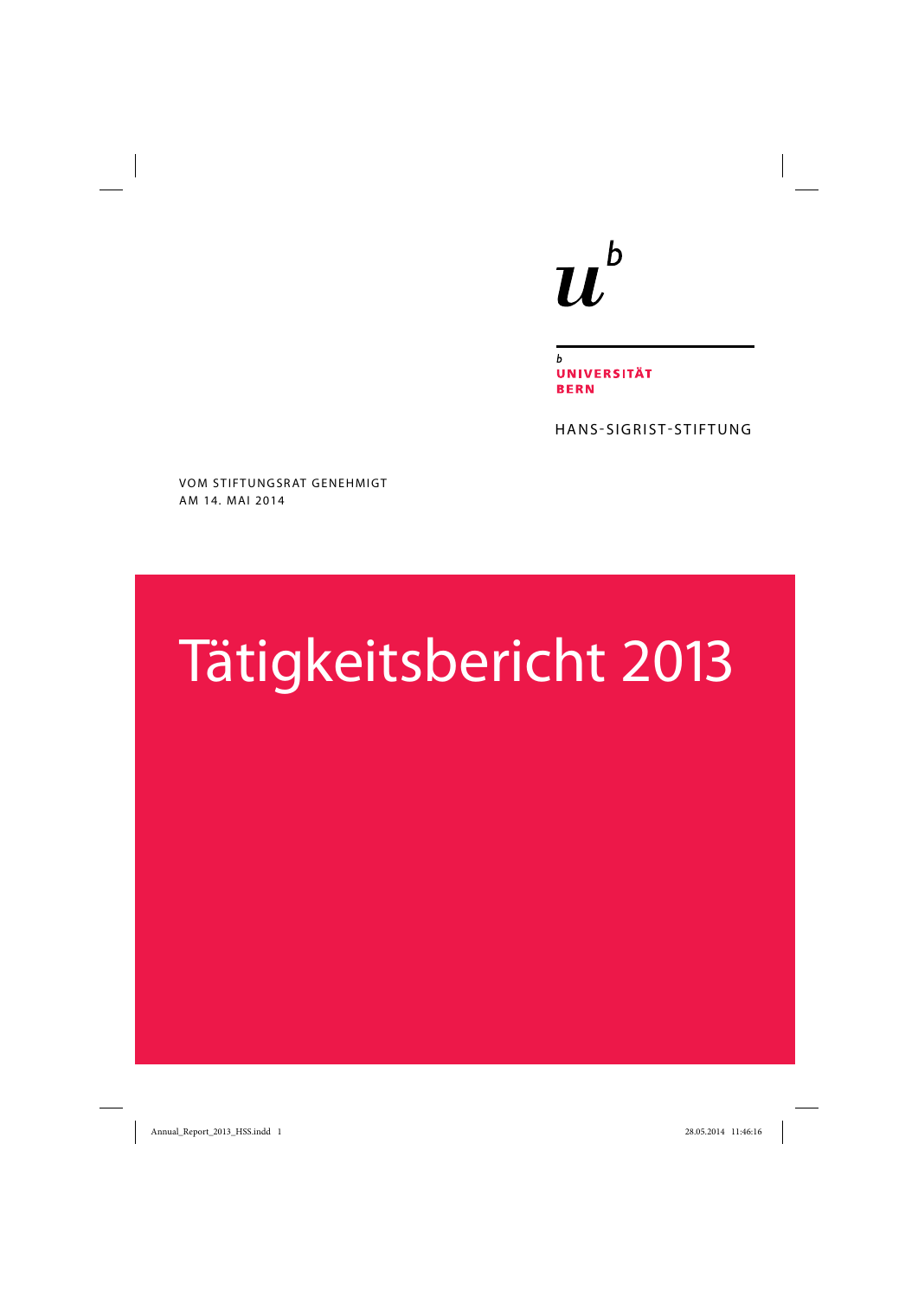## $b$  $\boldsymbol{u}$

 $\mathbf b$ **UNIVERSITÄT BERN** 

HANS-SIGRIST-STIFTUNG

VOM STIFTUNGSRAT GENEHMIGT AM 14. MAI 2014

# Tätigkeitsbericht 2013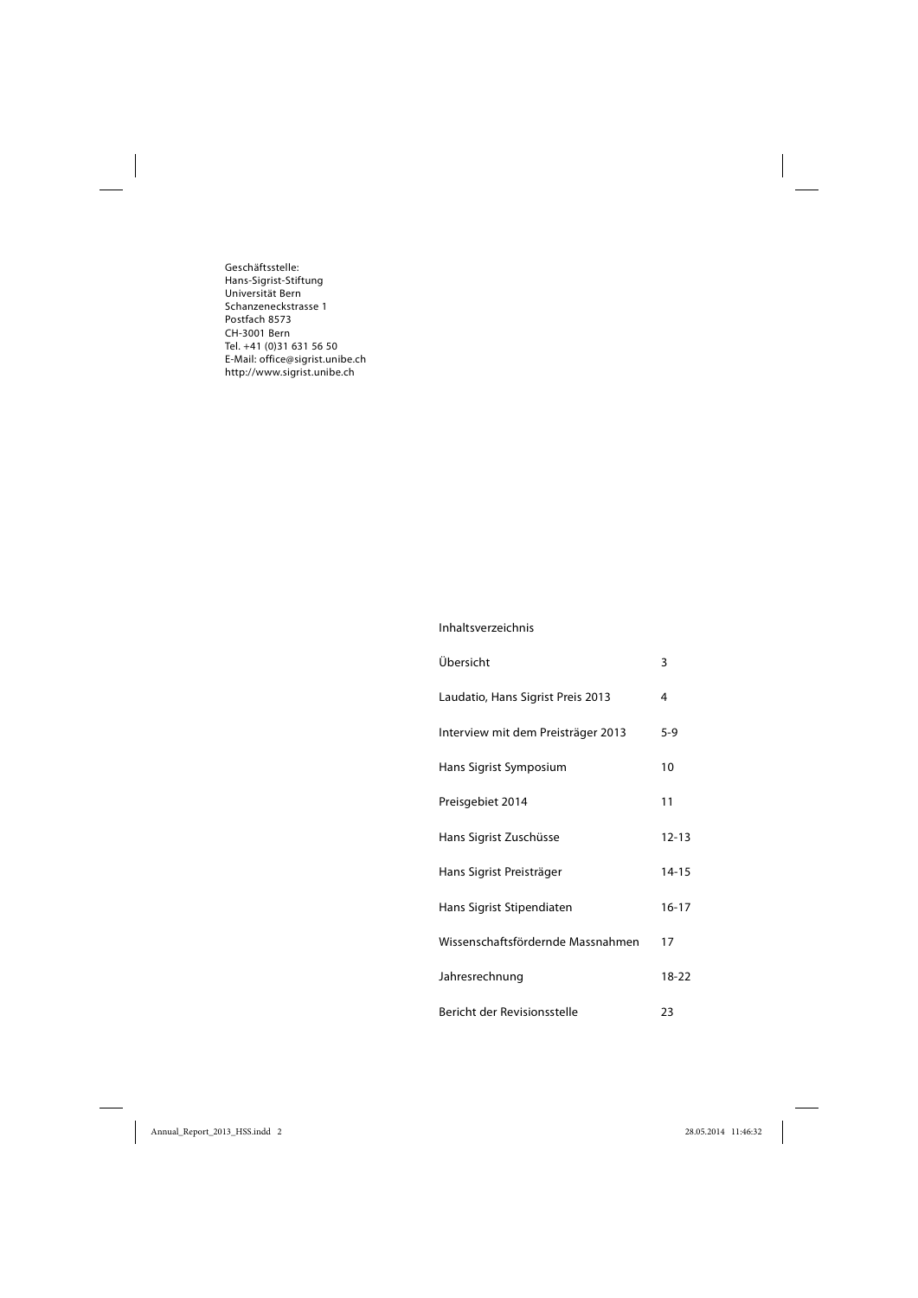Geschäftsstelle: Hans-Sigrist-Stiftung Universität Bern Schanzeneckstrasse 1 Postfach 8573 CH-3001 Bern Tel. +41 (0)31 631 56 50 E-Mail: office@sigrist.unibe.ch http://www.sigrist.unibe.ch

#### Inhaltsverzeichnis

| Übersicht                          | 3         |
|------------------------------------|-----------|
| Laudatio, Hans Sigrist Preis 2013  | 4         |
| Interview mit dem Preisträger 2013 | $5-9$     |
| Hans Sigrist Symposium             | 10        |
| Preisgebiet 2014                   | 11        |
| Hans Sigrist Zuschüsse             | $12 - 13$ |
| Hans Sigrist Preisträger           | $14 - 15$ |
| Hans Sigrist Stipendiaten          | $16 - 17$ |
| Wissenschaftsfördernde Massnahmen  | 17        |
| Jahresrechnung                     | 18-22     |
| Bericht der Revisionsstelle        | 23        |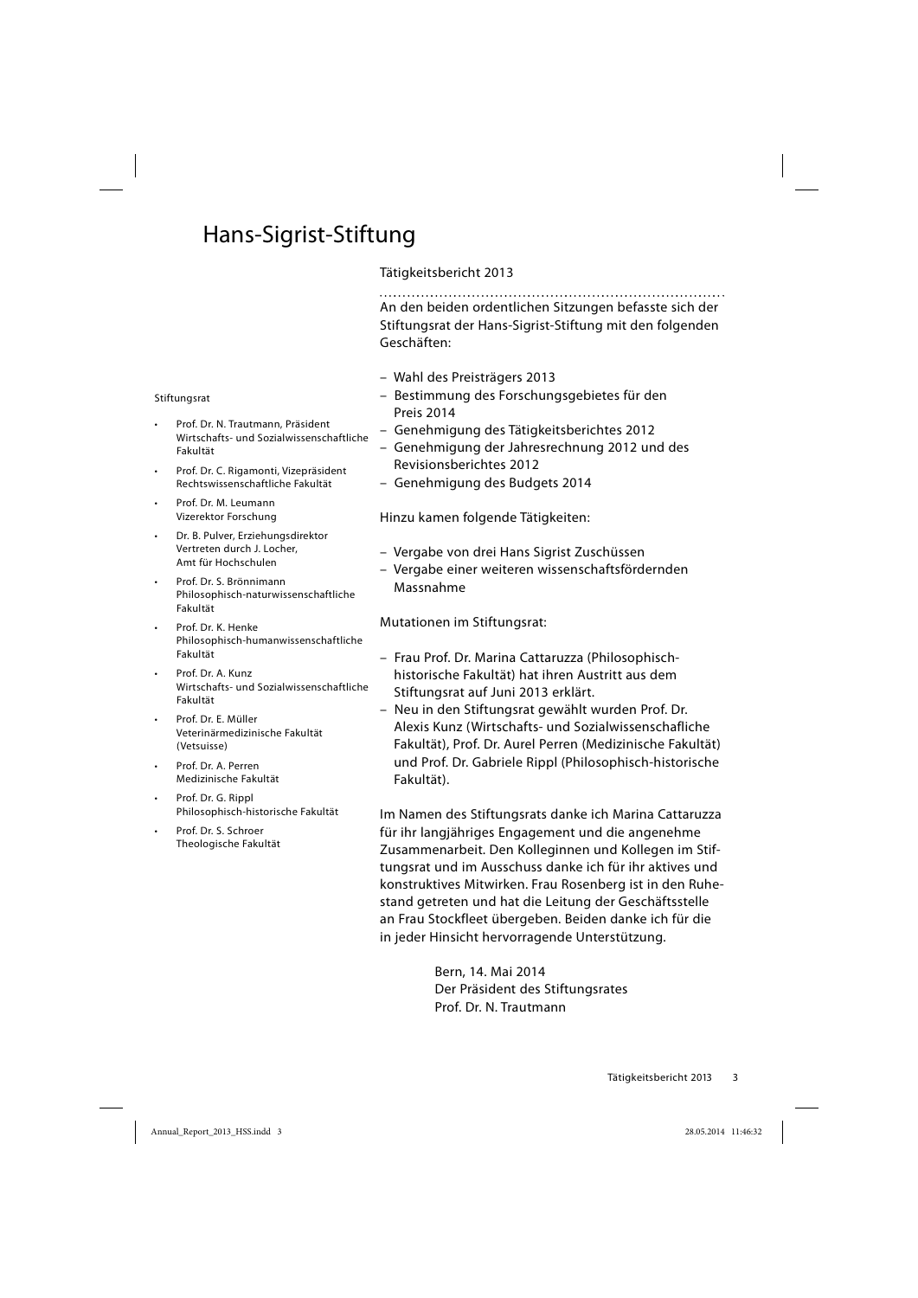## Hans-Sigrist-Stiftung

## Tätigkeitsbericht 2013

An den beiden ordentlichen Sitzungen befasste sich der Stiftungsrat der Hans-Sigrist-Stiftung mit den folgenden Geschäften:

- Wahl des Preisträgers 2013
- Bestimmung des Forschungsgebietes für den Preis 2014
- Genehmigung des Tätigkeitsberichtes 2012
- Genehmigung der Jahresrechnung 2012 und des Revisionsberichtes 2012
- Genehmigung des Budgets 2014

Hinzu kamen folgende Tätigkeiten:

- Vergabe von drei Hans Sigrist Zuschüssen
- Vergabe einer weiteren wissenschaftsfördernden Massnahme

Mutationen im Stiftungsrat:

- Frau Prof. Dr. Marina Cattaruzza (Philosophisch historische Fakultät) hat ihren Austritt aus dem Stiftungsrat auf Juni 2013 erklärt.
- Neu in den Stiftungsrat gewählt wurden Prof. Dr. Alexis Kunz (Wirtschafts- und Sozialwissenschafliche Fakultät), Prof. Dr. Aurel Perren (Medizinische Fakultät) und Prof. Dr. Gabriele Rippl (Philosophisch-historische Fakultät).

Im Namen des Stiftungsrats danke ich Marina Cattaruzza für ihr langjähriges Engagement und die angenehme Zusammenarbeit. Den Kolleginnen und Kollegen im Stiftungsrat und im Ausschuss danke ich für ihr aktives und konstruktives Mitwirken. Frau Rosenberg ist in den Ruhestand getreten und hat die Leitung der Geschäftsstelle an Frau Stockfleet übergeben. Beiden danke ich für die in jeder Hinsicht hervorragende Unterstützung.

> Bern, 14. Mai 2014 Der Präsident des Stiftungsrates Prof. Dr. N. Trautmann

#### **Stiftungsrat**

- Prof. Dr. N. Trautmann, Präsident Wirtschafts- und Sozialwissenschaftliche Fakultät
- Prof. Dr. C. Rigamonti, Vizepräsident Rechtswissenschaftliche Fakultät
- Prof. Dr. M. Leumann Vize rektor Forschung
- Dr. B. Pulver, Erziehungsdirektor Vertreten durch J. Locher, Amt für Hochschulen
- Prof. Dr. S. Brönnimann Philosophisch-naturwissenschaftliche Fakultät
- Prof. Dr. K. Henke Philosophisch-humanwissenschaftliche Fakultät
- Prof. Dr. A. Kunz Wirtschafts- und Sozialwissenschaftliche Fakultät
- Prof. Dr. E. Müller Veterinärmedizinische Fakultät (Vetsuisse)
- Prof. Dr. A. Perren Medizinische Fakultät
- Prof. Dr. G. Rippl Philosophisch-historische Fakultät
- Prof. Dr. S. Schroer Theologische Fakultät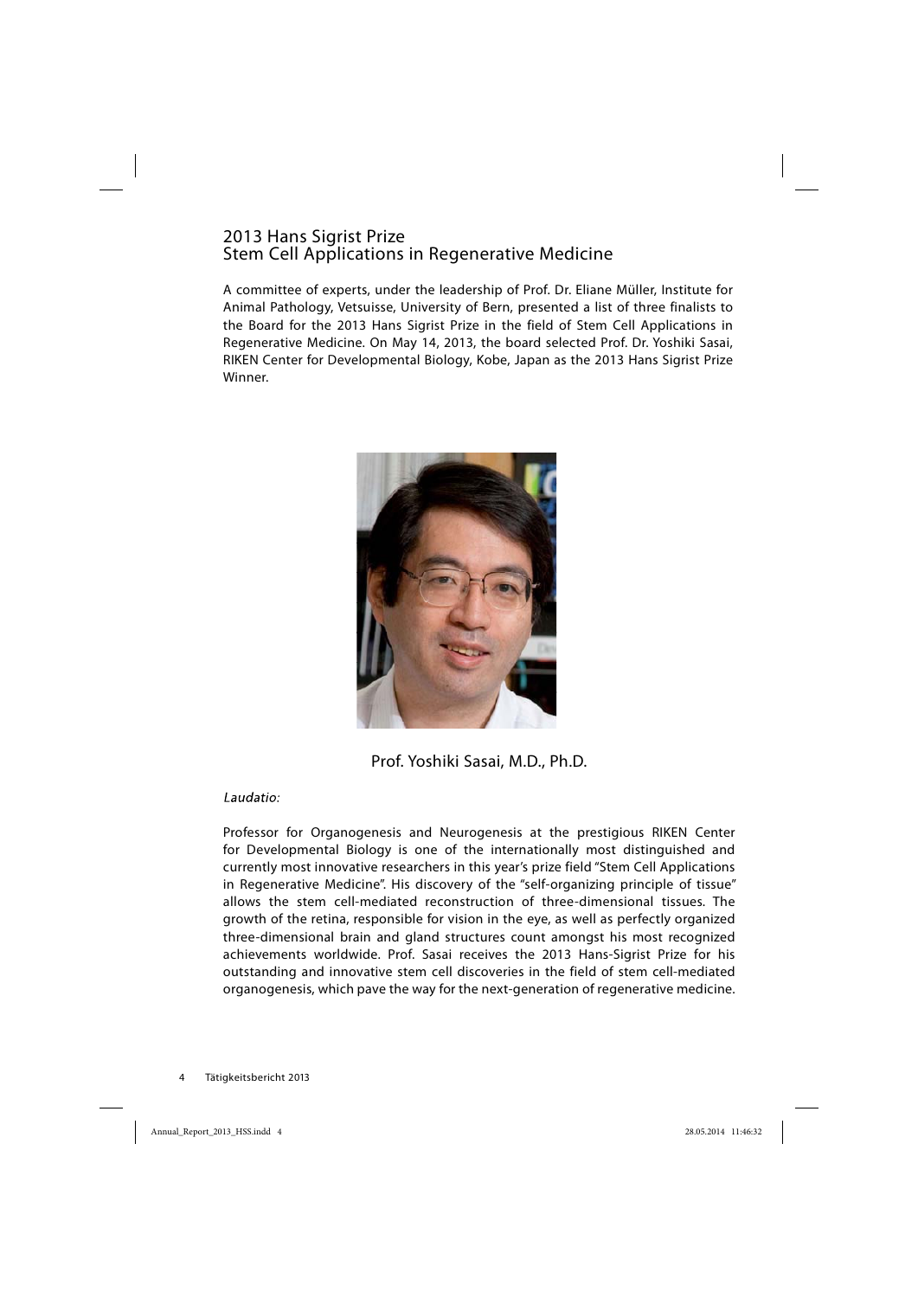## 2013 Hans Sigrist Prize Stem Cell Applications in Regenerative Medicine

A committee of experts, under the leadership of Prof. Dr. Eliane Müller, Institute for Animal Pathology, Vetsuisse, University of Bern, presented a list of three finalists to the Board for the 2013 Hans Sigrist Prize in the field of Stem Cell Applications in Regenerative Medicine. On May 14, 2013, the board selected Prof. Dr. Yoshiki Sasai, RIKEN Center for Developmental Biology, Kobe, Japan as the 2013 Hans Sigrist Prize Winner.



Prof. Yoshiki Sasai, M.D., Ph.D.

Laudatio:

Professor for Organogenesis and Neurogenesis at the prestigious RIKEN Center for Developmental Biology is one of the internationally most distinguished and currently most innovative researchers in this year's prize field "Stem Cell Applications in Regenerative Medicine". His discovery of the "self-organizing principle of tissue" allows the stem cell-mediated reconstruction of three-dimensional tissues. The growth of the retina, responsible for vision in the eye, as well as perfectly organized three-dimensional brain and gland structures count amongst his most recognized achievements worldwide. Prof. Sasai receives the 2013 Hans-Sigrist Prize for his outstanding and innovative stem cell discoveries in the field of stem cell-mediated organogenesis, which pave the way for the next-generation of regenerative medicine.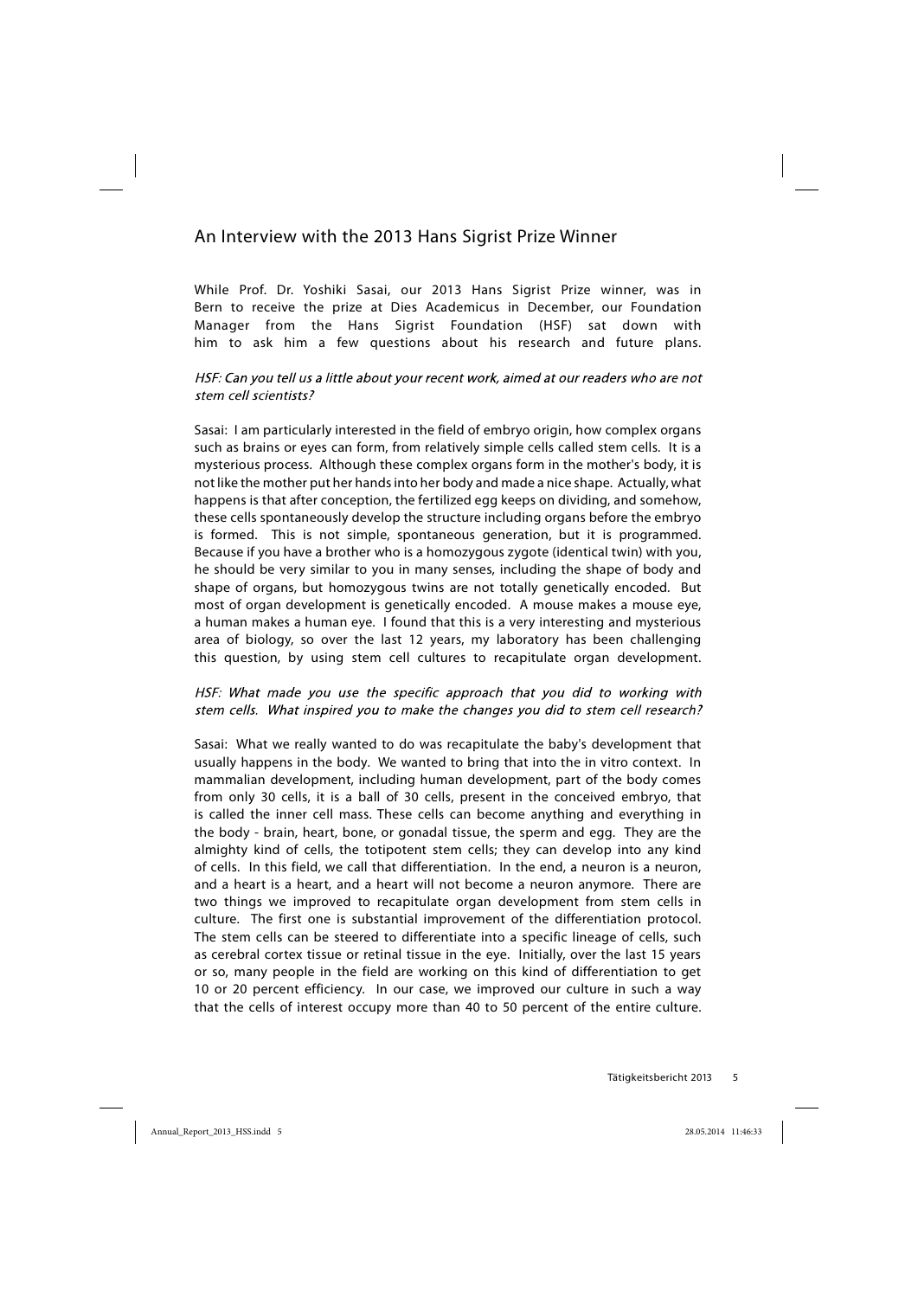## An Interview with the 2013 Hans Sigrist Prize Winner

While Prof. Dr. Yoshiki Sasai, our 2013 Hans Sigrist Prize winner, was in Bern to receive the prize at Dies Academicus in December, our Foundation Manager from the Hans Sigrist Foundation (HSF) sat down with him to ask him a few questions about his research and future plans.

## HSF: Can you tell us a little about your recent work, aimed at our readers who are not stem cell scientists?

Sasai: I am particularly interested in the field of embryo origin, how complex organs such as brains or eyes can form, from relatively simple cells called stem cells. It is a mysterious process. Although these complex organs form in the mother's body, it is not like the mother put her hands into her body and made a nice shape. Actually, what happens is that after conception, the fertilized egg keeps on dividing, and somehow, these cells spontaneously develop the structure including organs before the embryo is formed. This is not simple, spontaneous generation, but it is programmed. Because if you have a brother who is a homozygous zygote (identical twin) with you, he should be very similar to you in many senses, including the shape of body and shape of organs, but homozygous twins are not totally genetically encoded. But most of organ development is genetically encoded. A mouse makes a mouse eye, a human makes a human eye. I found that this is a very interesting and mysterious area of biology, so over the last 12 years, my laboratory has been challenging this question, by using stem cell cultures to recapitulate organ development.

#### HSF: What made you use the specific approach that you did to working with stem cells. What inspired you to make the changes you did to stem cell research?

Sasai: What we really wanted to do was recapitulate the baby's development that usually happens in the body. We wanted to bring that into the in vitro context. In mammalian development, including human development, part of the body comes from only 30 cells, it is a ball of 30 cells, present in the conceived embryo, that is called the inner cell mass. These cells can become anything and everything in the body - brain, heart, bone, or gonadal tissue, the sperm and egg. They are the almighty kind of cells, the totipotent stem cells; they can develop into any kind of cells. In this field, we call that differentiation. In the end, a neuron is a neuron, and a heart is a heart, and a heart will not become a neuron anymore. There are two things we improved to recapitulate organ development from stem cells in culture. The first one is substantial improvement of the differentiation protocol. The stem cells can be steered to differentiate into a specific lineage of cells, such as cerebral cortex tissue or retinal tissue in the eye. Initially, over the last 15 years or so, many people in the field are working on this kind of differentiation to get 10 or 20 percent efficiency. In our case, we improved our culture in such a way that the cells of interest occupy more than 40 to 50 percent of the entire culture.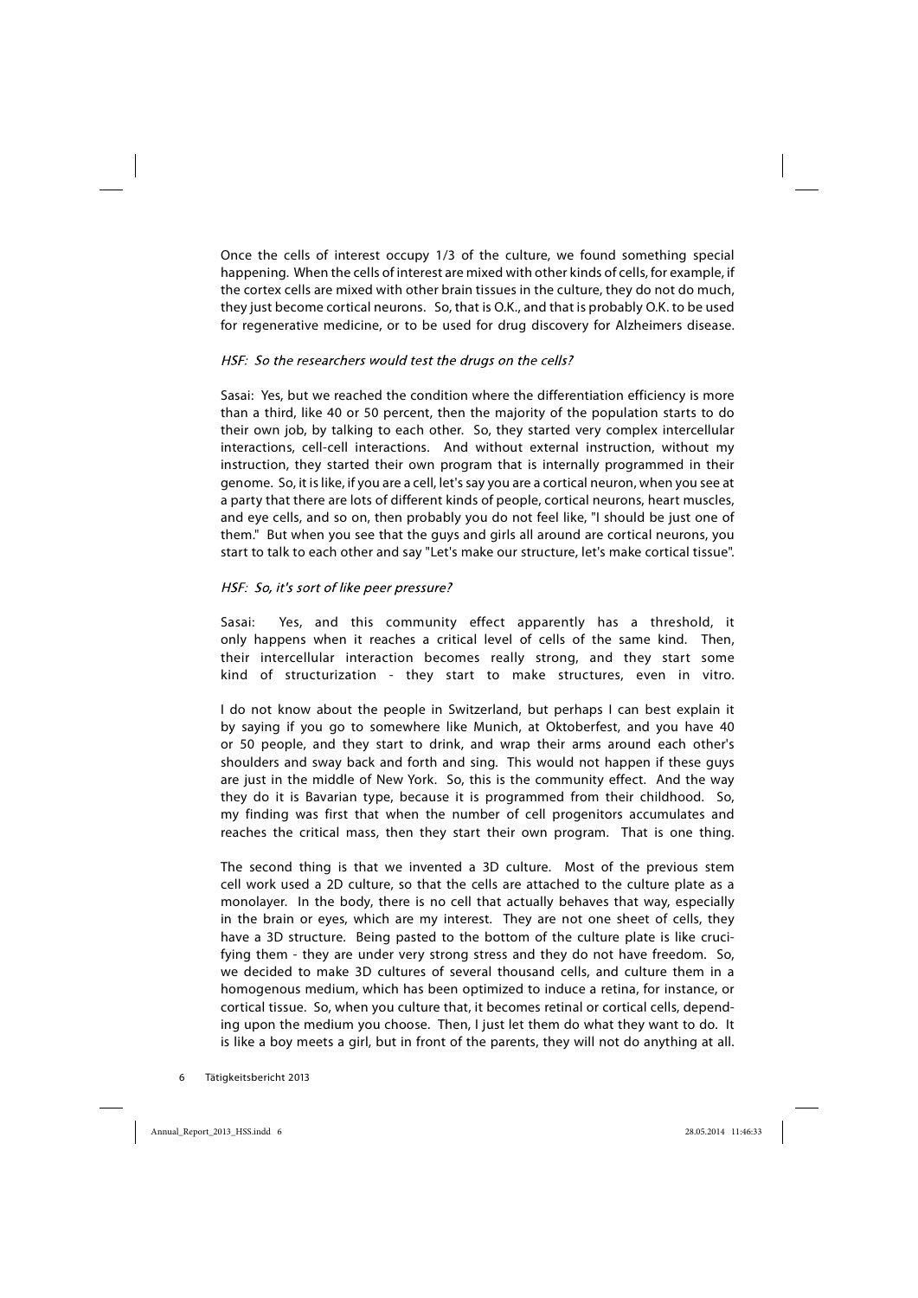Once the cells of interest occupy 1/3 of the culture, we found something special happening. When the cells of interest are mixed with other kinds of cells, for example, if the cortex cells are mixed with other brain tissues in the culture, they do not do much, they just become cortical neurons. So, that is O.K., and that is probably O.K. to be used for regenerative medicine, or to be used for drug discovery for Alzheimers disease.

#### HSF: So the researchers would test the drugs on the cells?

Sasai: Yes, but we reached the condition where the differentiation efficiency is more than a third, like 40 or 50 percent, then the majority of the population starts to do their own job, by talking to each other. So, they started very complex intercellular interactions, cell-cell interactions. And without external instruction, without my instruction, they started their own program that is internally programmed in their genome. So, it is like, if you are a cell, let's say you are a cortical neuron, when you see at a party that there are lots of different kinds of people, cortical neurons, heart muscles, and eye cells, and so on, then probably you do not feel like, "I should be just one of them." But when you see that the guys and girls all around are cortical neurons, you start to talk to each other and say "Let's make our structure, let's make cortical tissue".

#### HSF: So, it's sort of like peer pressure?

Sasai: Yes, and this community effect apparently has a threshold, it only happens when it reaches a critical level of cells of the same kind. Then, their intercellular interaction becomes really strong, and they start some kind of structurization - they start to make structures, even in vitro.

I do not know about the people in Switzerland, but perhaps I can best explain it by saying if you go to somewhere like Munich, at Oktoberfest, and you have 40 or 50 people, and they start to drink, and wrap their arms around each other's shoulders and sway back and forth and sing. This would not happen if these guys are just in the middle of New York. So, this is the community effect. And the way they do it is Bavarian type, because it is programmed from their childhood. So, my finding was first that when the number of cell progenitors accumulates and reaches the critical mass, then they start their own program. That is one thing.

The second thing is that we invented a 3D culture. Most of the previous stem cell work used a 2D culture, so that the cells are attached to the culture plate as a monolayer. In the body, there is no cell that actually behaves that way, especially in the brain or eyes, which are my interest. They are not one sheet of cells, they have a 3D structure. Being pasted to the bottom of the culture plate is like crucifying them - they are under very strong stress and they do not have freedom. So, we decided to make 3D cultures of several thousand cells, and culture them in a homogenous medium, which has been optimized to induce a retina, for instance, or cortical tissue. So, when you culture that, it becomes retinal or cortical cells, depending upon the medium you choose. Then, I just let them do what they want to do. It is like a boy meets a girl, but in front of the parents, they will not do anything at all.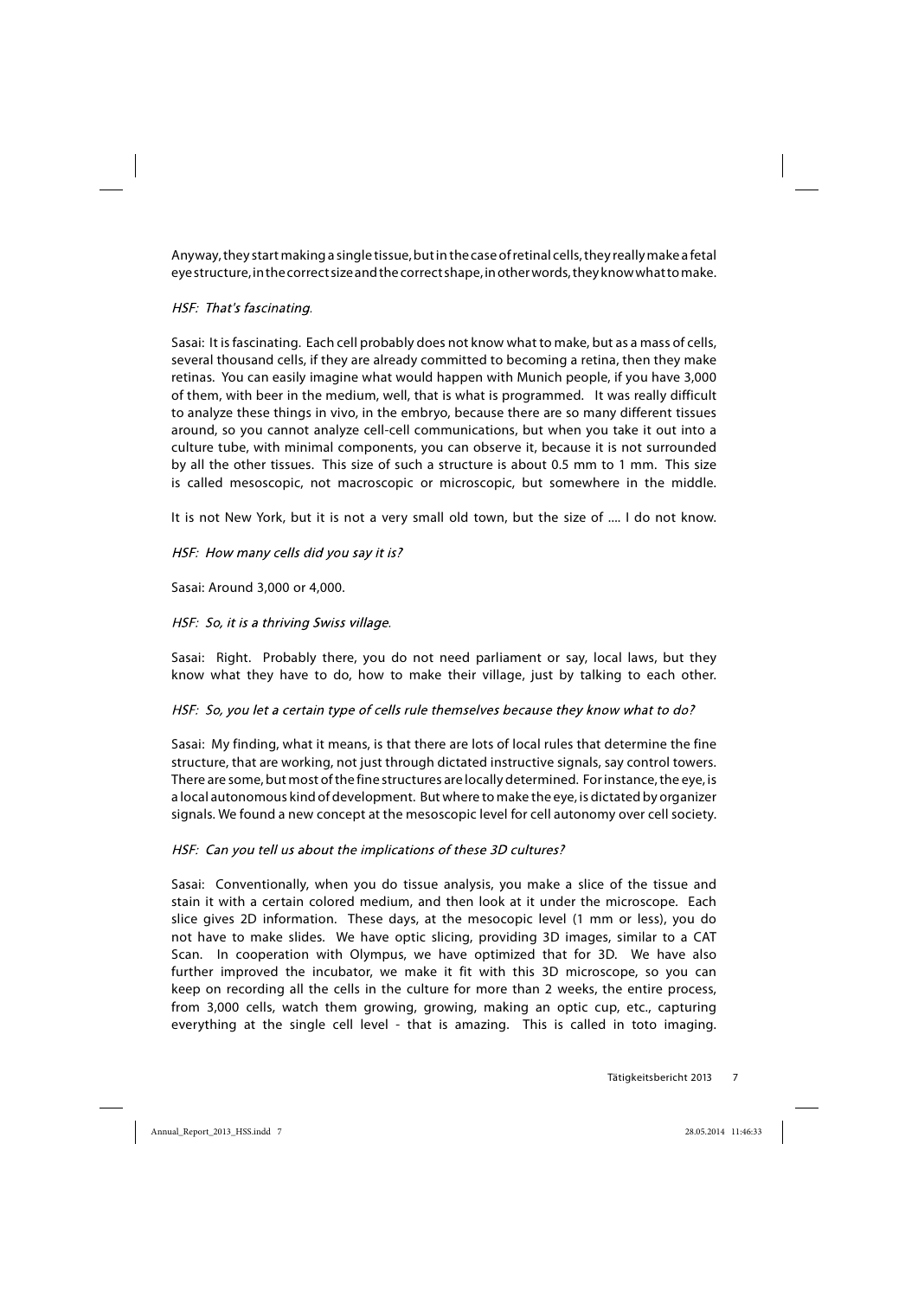Anyway, they start making a single tissue, but in the case of retinal cells, they really make a fetal eye structure, in the correct size and the correct shape, in other words, they know what to make.

## HSF: That's fascinating.

Sasai: It is fascinating. Each cell probably does not know what to make, but as a mass of cells, several thousand cells, if they are already committed to becoming a retina, then they make retinas. You can easily imagine what would happen with Munich people, if you have 3,000 of them, with beer in the medium, well, that is what is programmed. It was really difficult to analyze these things in vivo, in the embryo, because there are so many different tissues around, so you cannot analyze cell-cell communications, but when you take it out into a culture tube, with minimal components, you can observe it, because it is not surrounded by all the other tissues. This size of such a structure is about 0.5 mm to 1 mm. This size is called mesoscopic, not macroscopic or microscopic, but somewhere in the middle.

It is not New York, but it is not a very small old town, but the size of .... I do not know.

HSF: How many cells did you say it is?

Sasai: Around 3,000 or 4,000.

#### HSF: So, it is a thriving Swiss village.

Sasai: Right. Probably there, you do not need parliament or say, local laws, but they know what they have to do, how to make their village, just by talking to each other.

HSF: So, you let a certain type of cells rule themselves because they know what to do?

Sasai: My finding, what it means, is that there are lots of local rules that determine the fine structure, that are working, not just through dictated instructive signals, say control towers. There are some, but most of the fine structures are locally determined. For instance, the eye, is a local autonomous kind of development. But where to make the eye, is dictated by organizer signals. We found a new concept at the mesoscopic level for cell autonomy over cell society.

#### HSF: Can you tell us about the implications of these 3D cultures?

Sasai: Conventionally, when you do tissue analysis, you make a slice of the tissue and stain it with a certain colored medium, and then look at it under the microscope. Each slice gives 2D information. These days, at the mesocopic level (1 mm or less), you do not have to make slides. We have optic slicing, providing 3D images, similar to a CAT Scan. In cooperation with Olympus, we have optimized that for 3D. We have also further improved the incubator, we make it fit with this 3D microscope, so you can keep on recording all the cells in the culture for more than 2 weeks, the entire process, from 3,000 cells, watch them growing, growing, making an optic cup, etc., capturing everything at the single cell level - that is amazing. This is called in toto imaging.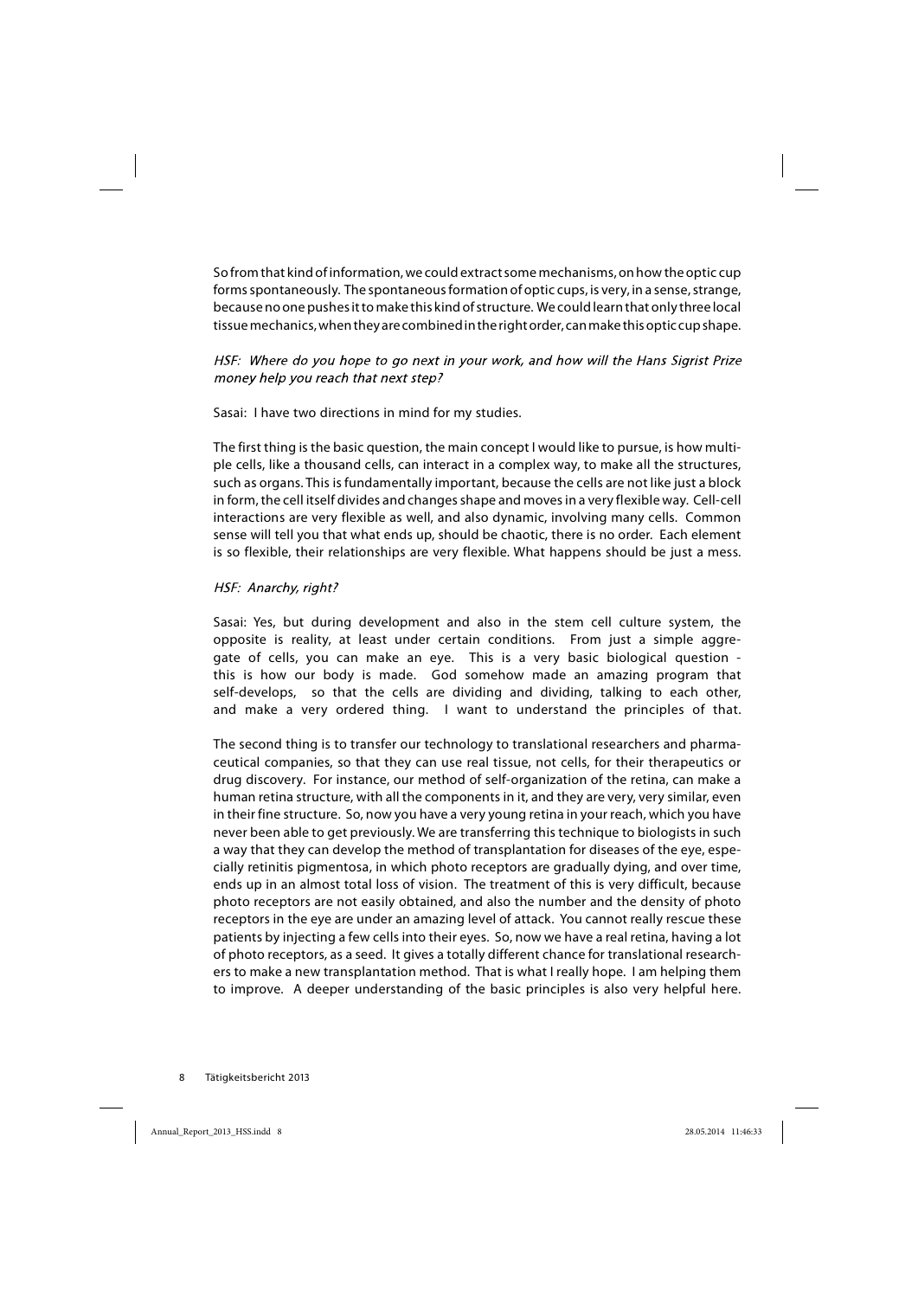So from that kind of information, we could extract some mechanisms, on how the optic cup forms spontaneously. The spontaneous formation of optic cups, is very, in a sense, strange, because no one pushes it to make this kind of structure. We could learn that only three local tissue mechanics, when they are combined in the right order, can make this optic cup shape.

HSF: Where do you hope to go next in your work, and how will the Hans Sigrist Prize money help you reach that next step?

Sasai: I have two directions in mind for my studies.

The first thing is the basic question, the main concept I would like to pursue, is how multiple cells, like a thousand cells, can interact in a complex way, to make all the structures, such as organs. This is fundamentally important, because the cells are not like just a block in form, the cell itself divides and changes shape and moves in a very flexible way. Cell-cell interactions are very flexible as well, and also dynamic, involving many cells. Common sense will tell you that what ends up, should be chaotic, there is no order. Each element is so flexible, their relationships are very flexible. What happens should be just a mess.

#### HSF: Anarchy, right?

Sasai: Yes, but during development and also in the stem cell culture system, the opposite is reality, at least under certain conditions. From just a simple aggregate of cells, you can make an eye. This is a very basic biological question this is how our body is made. God somehow made an amazing program that self-develops, so that the cells are dividing and dividing, talking to each other, and make a very ordered thing. I want to understand the principles of that.

The second thing is to transfer our technology to translational researchers and pharmaceutical companies, so that they can use real tissue, not cells, for their therapeutics or drug discovery. For instance, our method of self-organization of the retina, can make a human retina structure, with all the components in it, and they are very, very similar, even in their fine structure. So, now you have a very young retina in your reach, which you have never been able to get previously. We are transferring this technique to biologists in such a way that they can develop the method of transplantation for diseases of the eye, especially retinitis pigmentosa, in which photo receptors are gradually dying, and over time, ends up in an almost total loss of vision. The treatment of this is very difficult, because photo receptors are not easily obtained, and also the number and the density of photo receptors in the eye are under an amazing level of attack. You cannot really rescue these patients by injecting a few cells into their eyes. So, now we have a real retina, having a lot of photo receptors, as a seed. It gives a totally different chance for translational researchers to make a new transplantation method. That is what I really hope. I am helping them to improve. A deeper understanding of the basic principles is also very helpful here.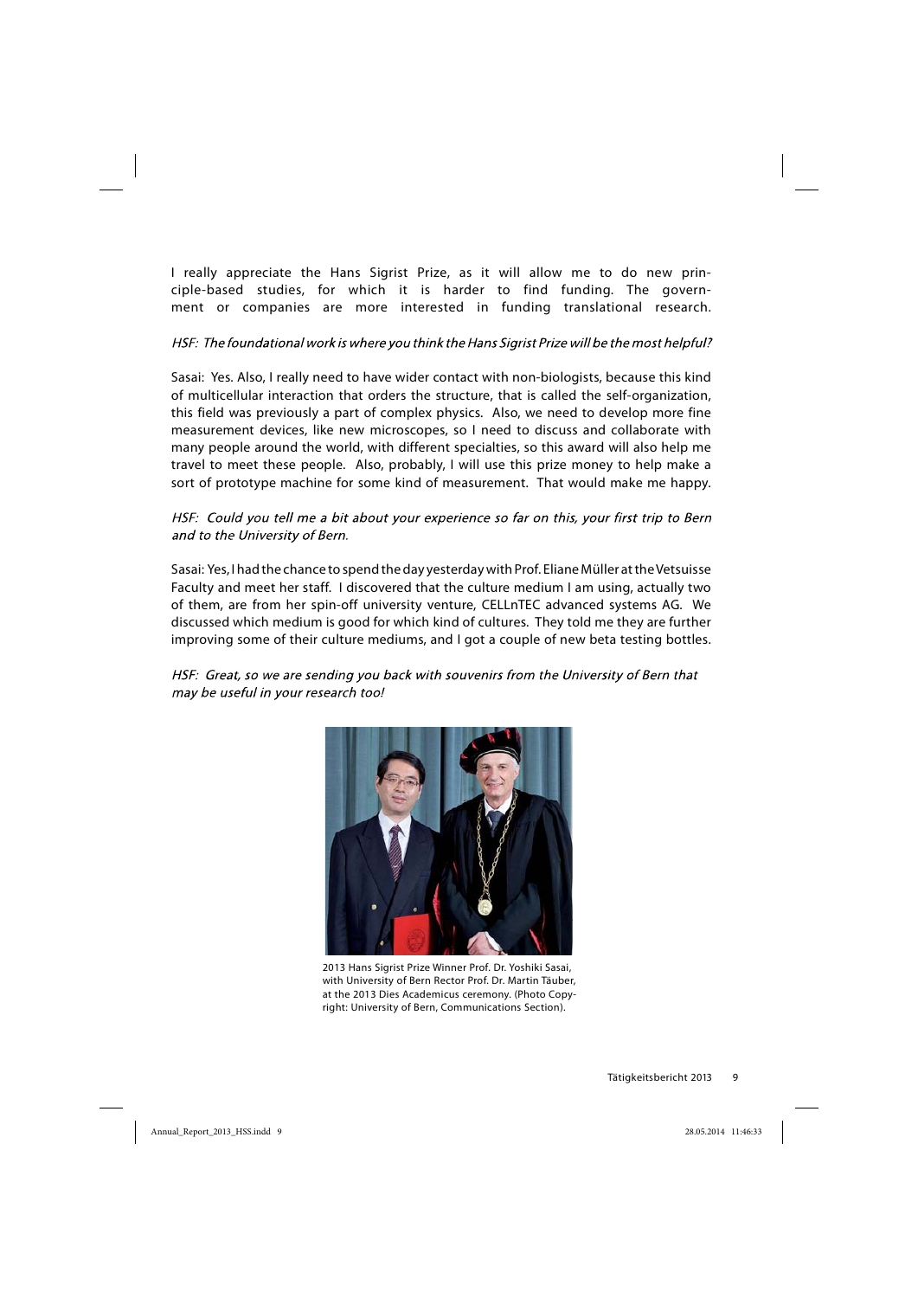I really appreciate the Hans Sigrist Prize, as it will allow me to do new principle-based studies, for which it is harder to find funding. The government or companies are more interested in funding translational research.

## HSF: The foundational work is where you think the Hans Sigrist Prize will be the most helpful?

Sasai: Yes. Also, I really need to have wider contact with non-biologists, because this kind of multicellular interaction that orders the structure, that is called the self-organization, this field was previously a part of complex physics. Also, we need to develop more fine measurement devices, like new microscopes, so I need to discuss and collaborate with many people around the world, with different specialties, so this award will also help me travel to meet these people. Also, probably, I will use this prize money to help make a sort of prototype machine for some kind of measurement. That would make me happy.

HSF: Could you tell me a bit about your experience so far on this, your first trip to Bern and to the University of Bern.

Sasai: Yes, I had the chance to spend the day yesterday with Prof. Eliane Müller at the Vetsuisse Faculty and meet her staff. I discovered that the culture medium I am using, actually two of them, are from her spin-off university venture, CELLnTEC advanced systems AG. We discussed which medium is good for which kind of cultures. They told me they are further improving some of their culture mediums, and I got a couple of new beta testing bottles.

HSF: Great, so we are sending you back with souvenirs from the University of Bern that may be useful in your research too!



2013 Hans Sigrist Prize Winner Prof. Dr. Yoshiki Sasai, with University of Bern Rector Prof. Dr. Martin Täuber, at the 2013 Dies Academicus ceremony. (Photo Copyright: University of Bern, Communications Section).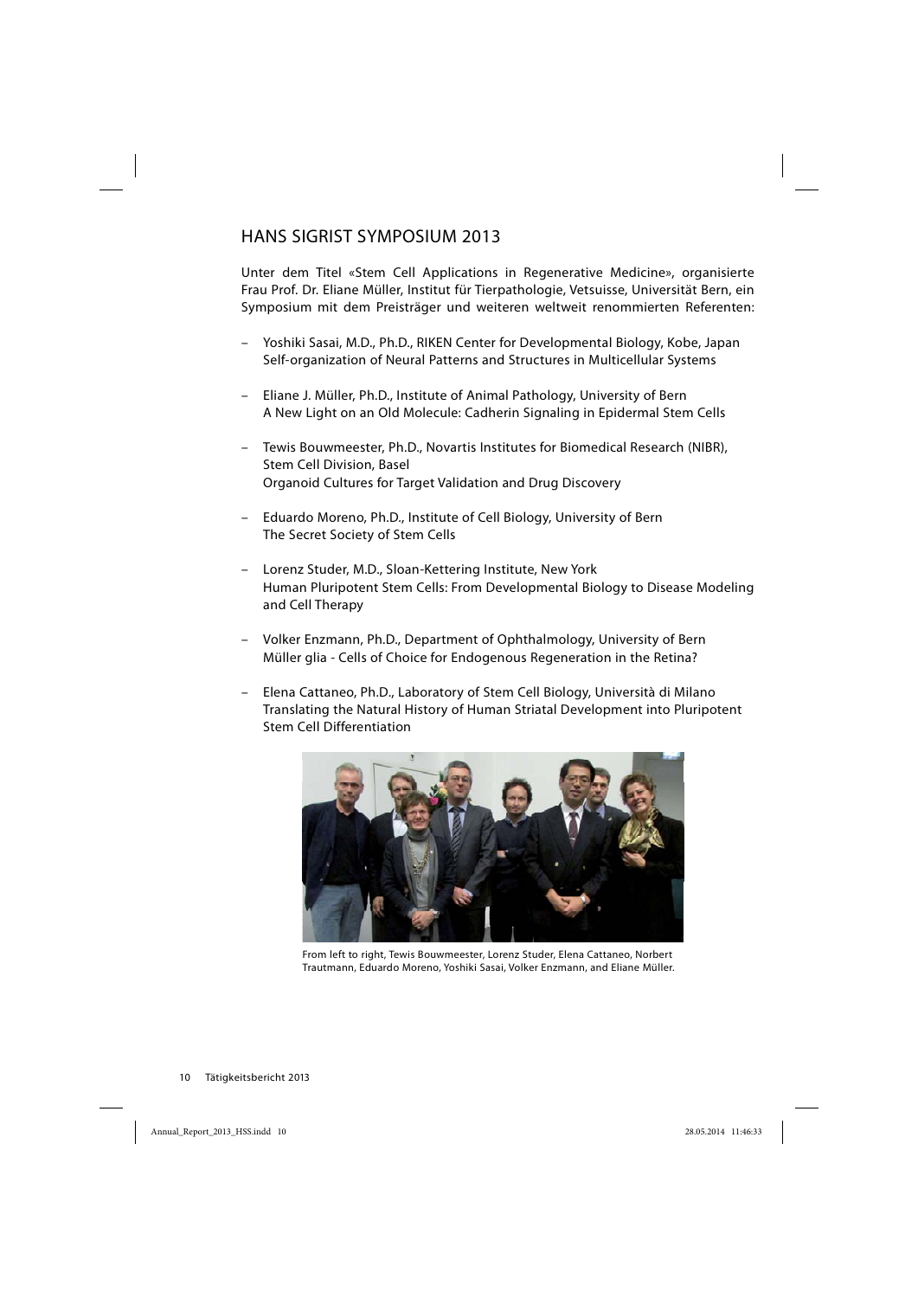## HANS SIGRIST SYMPOSIUM 2013

Unter dem Titel «Stem Cell Applications in Regenerative Medicine», organisierte Frau Prof. Dr. Eliane Müller, Institut für Tierpathologie, Vetsuisse, Universität Bern, ein Symposium mit dem Preisträger und weiteren weltweit renommierten Referenten:

- Yoshiki Sasai, M.D., Ph.D., RIKEN Center for Developmental Biology, Kobe, Japan Self-organization of Neural Patterns and Structures in Multicellular Systems
- Eliane J. Müller, Ph.D., Institute of Animal Pathology, University of Bern A New Light on an Old Molecule: Cadherin Signaling in Epidermal Stem Cells
- Tewis Bouwmeester, Ph.D., Novartis Institutes for Biomedical Research (NIBR), Stem Cell Division, Basel Organoid Cultures for Target Validation and Drug Discovery
- Eduardo Moreno, Ph.D., Institute of Cell Biology, University of Bern The Secret Society of Stem Cells
- Lorenz Studer, M.D., Sloan-Kettering Institute, New York Human Pluripotent Stem Cells: From Developmental Biology to Disease Modeling and Cell Therapy
- Volker Enzmann, Ph.D., Department of Ophthalmology, University of Bern Müller glia - Cells of Choice for Endogenous Regeneration in the Retina?
- Elena Cattaneo, Ph.D., Laboratory of Stem Cell Biology, Università di Milano Translating the Natural History of Human Striatal Development into Pluripotent Stem Cell Differentiation



From left to right, Tewis Bouwmeester, Lorenz Studer, Elena Cattaneo, Norbert Trautmann, Eduardo Moreno, Yoshiki Sasai, Volker Enzmann, and Eliane Müller.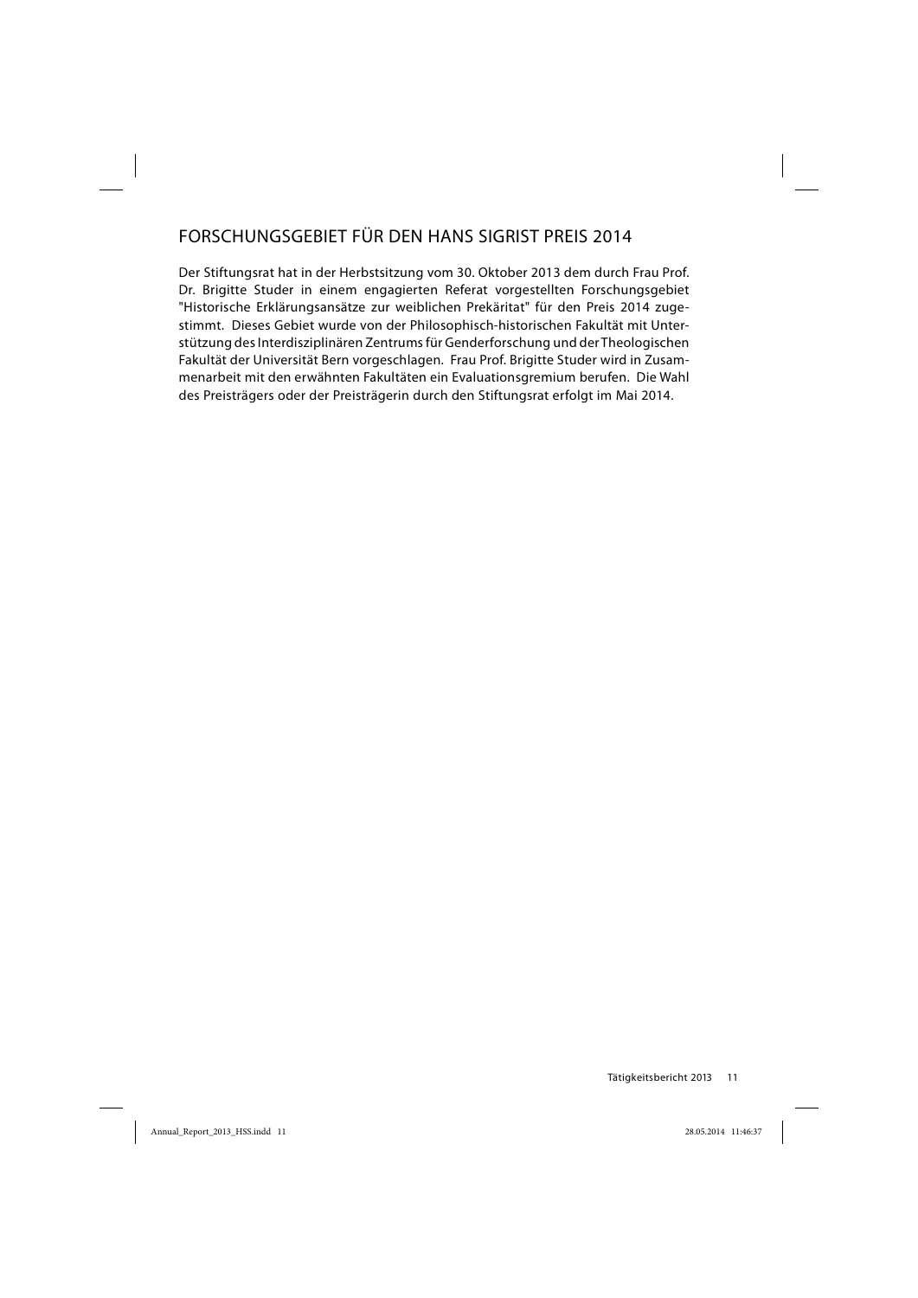## FORSCHUNGSGEBIET FÜR DEN HANS SIGRIST PREIS 2014

Der Stiftungsrat hat in der Herbstsitzung vom 30. Oktober 2013 dem durch Frau Prof. Dr. Brigitte Studer in einem engagierten Referat vorgestellten Forschungsgebiet "Historische Erklärungsansätze zur weiblichen Prekäritat" für den Preis 2014 zugestimmt. Dieses Gebiet wurde von der Philosophisch-historischen Fakultät mit Unterstützung des Interdisziplinären Zentrums für Genderforschung und der Theologischen Fakultät der Universität Bern vorgeschlagen. Frau Prof. Brigitte Studer wird in Zusammenarbeit mit den erwähnten Fakultäten ein Evaluationsgremium berufen. Die Wahl des Preisträgers oder der Preisträgerin durch den Stiftungsrat erfolgt im Mai 2014.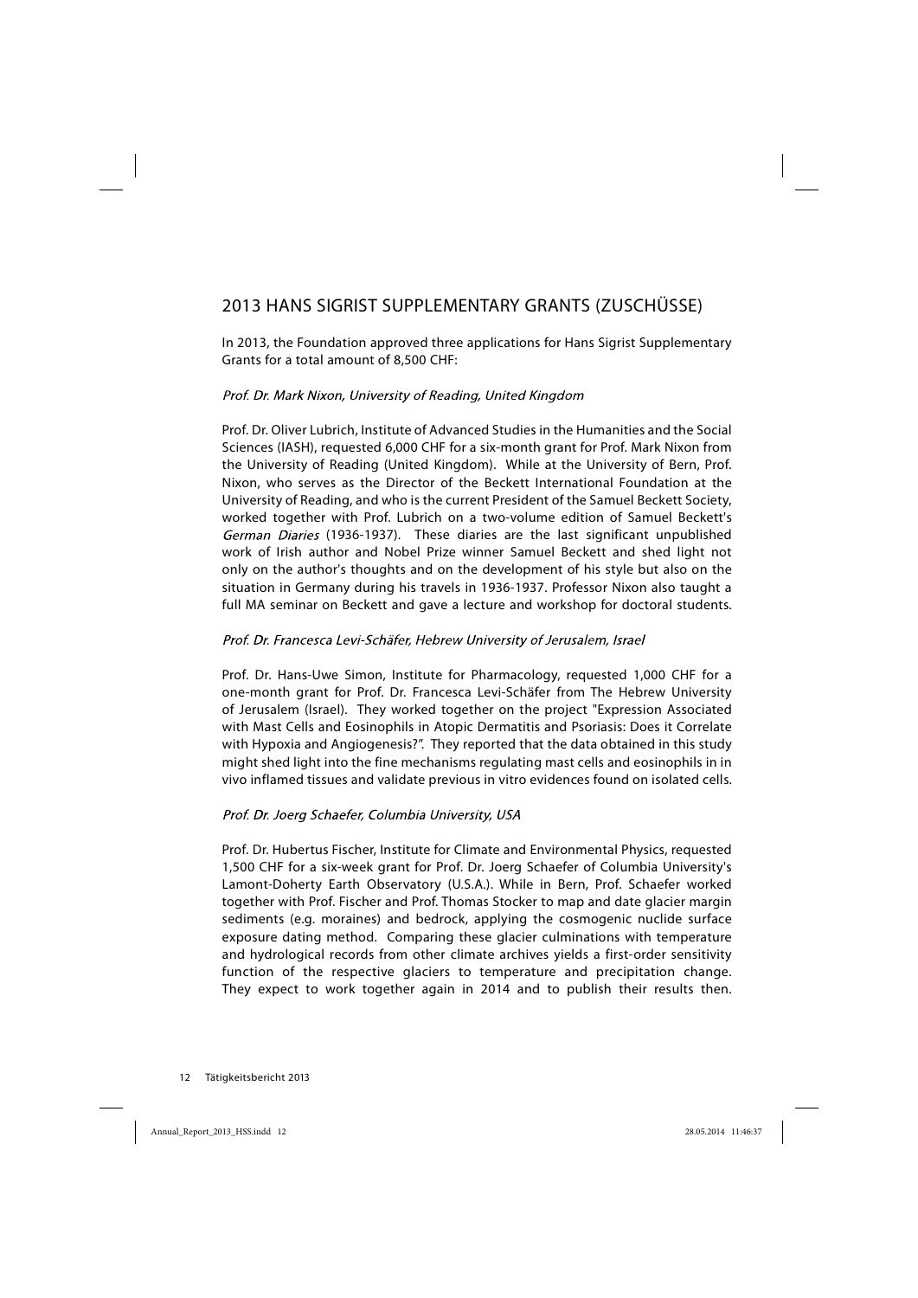## 2013 HANS SIGRIST SUPPLEMENTARY GRANTS (ZUSCHÜSSE)

In 2013, the Foundation approved three applications for Hans Sigrist Supplementary Grants for a total amount of 8,500 CHF:

## Prof. Dr. Mark Nixon, University of Reading, United Kingdom

Prof. Dr. Oliver Lubrich, Institute of Advanced Studies in the Humanities and the Social Sciences (IASH), requested 6,000 CHF for a six-month grant for Prof. Mark Nixon from the University of Reading (United Kingdom). While at the University of Bern, Prof. Nixon, who serves as the Director of the Beckett International Foundation at the University of Reading, and who is the current President of the Samuel Beckett Society, worked together with Prof. Lubrich on a two-volume edition of Samuel Beckett's German Diaries (1936-1937). These diaries are the last significant unpublished work of Irish author and Nobel Prize winner Samuel Beckett and shed light not only on the author's thoughts and on the development of his style but also on the situation in Germany during his travels in 1936-1937. Professor Nixon also taught a full MA seminar on Beckett and gave a lecture and workshop for doctoral students.

## Prof. Dr. Francesca Levi-Schäfer, Hebrew University of Jerusalem, Israel

Prof. Dr. Hans-Uwe Simon, Institute for Pharmacology, requested 1,000 CHF for a one-month grant for Prof. Dr. Francesca Levi-Schäfer from The Hebrew University of Jerusalem (Israel). They worked together on the project "Expression Associated with Mast Cells and Eosinophils in Atopic Dermatitis and Psoriasis: Does it Correlate with Hypoxia and Angiogenesis?". They reported that the data obtained in this study might shed light into the fine mechanisms regulating mast cells and eosinophils in in vivo inflamed tissues and validate previous in vitro evidences found on isolated cells.

## Prof. Dr. Joerg Schaefer, Columbia University, USA

Prof. Dr. Hubertus Fischer, Institute for Climate and Environmental Physics, requested 1,500 CHF for a six-week grant for Prof. Dr. Joerg Schaefer of Columbia University's Lamont-Doherty Earth Observatory (U.S.A.). While in Bern, Prof. Schaefer worked together with Prof. Fischer and Prof. Thomas Stocker to map and date glacier margin sediments (e.g. moraines) and bedrock, applying the cosmogenic nuclide surface exposure dating method. Comparing these glacier culminations with temperature and hydrological records from other climate archives yields a first-order sensitivity function of the respective glaciers to temperature and precipitation change. They expect to work together again in 2014 and to publish their results then.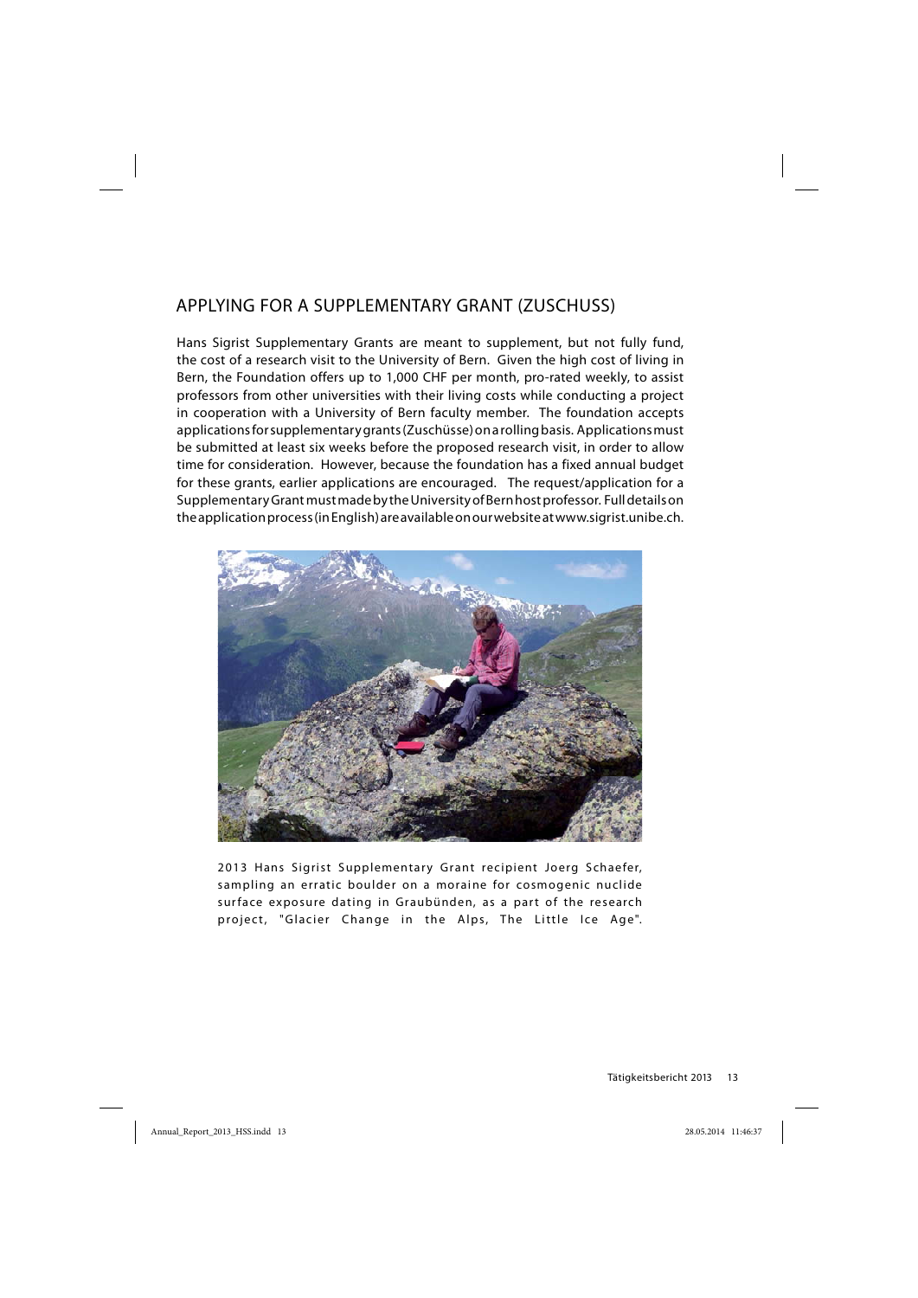## APPLYING FOR A SUPPLEMENTARY GRANT (ZUSCHUSS)

Hans Sigrist Supplementary Grants are meant to supplement, but not fully fund, the cost of a research visit to the University of Bern. Given the high cost of living in Bern, the Foundation offers up to 1,000 CHF per month, pro-rated weekly, to assist professors from other universities with their living costs while conducting a project in cooperation with a University of Bern faculty member. The foundation accepts applications for supplementary grants (Zuschüsse) on a rolling basis. Applications must be submitted at least six weeks before the proposed research visit, in order to allow time for consideration. However, because the foundation has a fixed annual budget for these grants, earlier applications are encouraged. The request/application for a Supplementary Grant must made by the University of Bern host professor. Full details on the application process (in English) are available on our website at www.sigrist.unibe.ch.



2013 Hans Sigrist Supplementary Grant recipient Joerg Schaefer, sampling an erratic boulder on a moraine for cosmogenic nuclide surface exposure dating in Graubünden, as a part of the research project, "Glacier Change in the Alps, The Little Ice Age".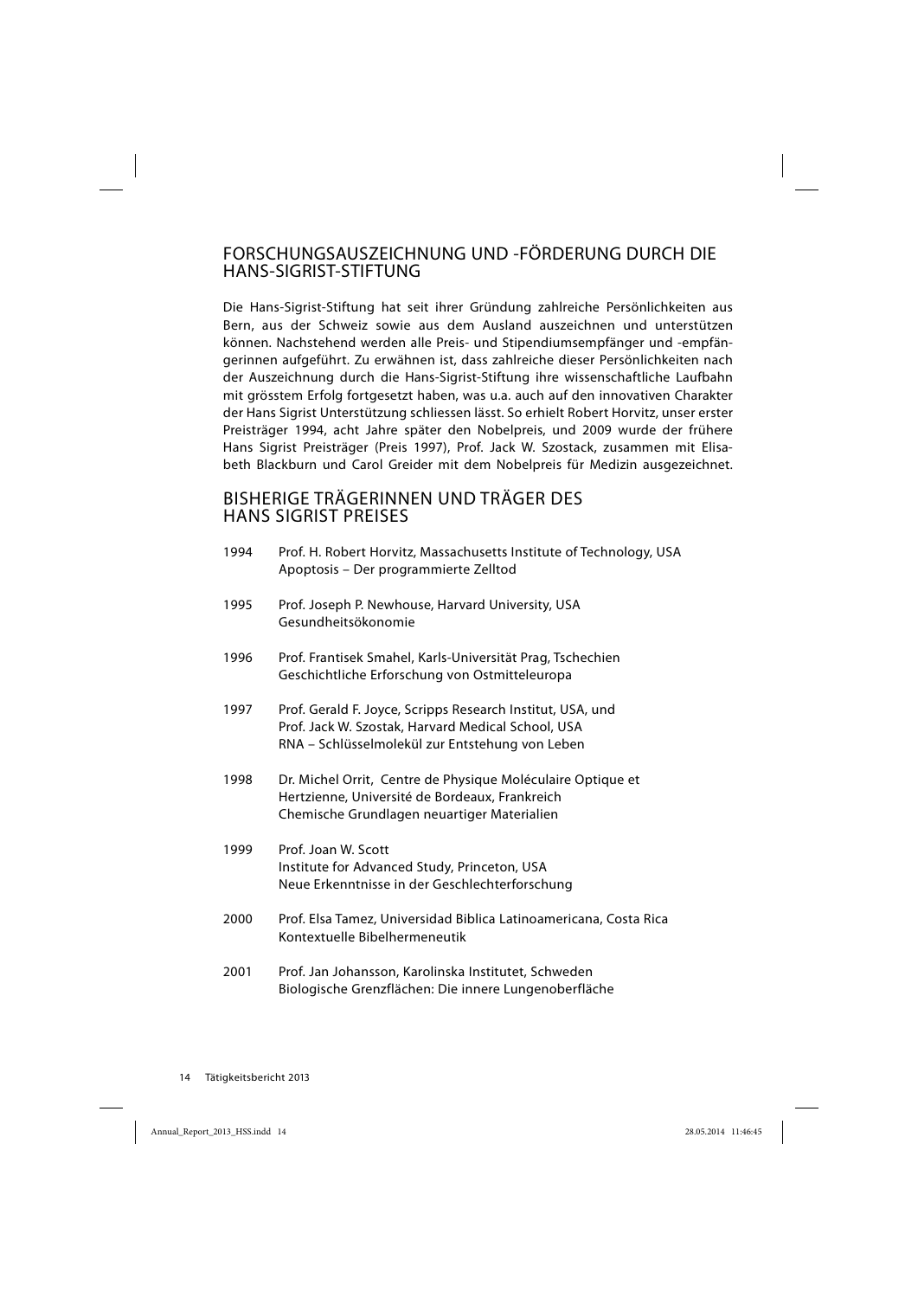## FORSCHUNGSAUSZEICHNUNG UND -FÖRDERUNG DURCH DIE HANS-SIGRIST-STIFTUNG

Die Hans-Sigrist-Stiftung hat seit ihrer Gründung zahlreiche Persönlichkeiten aus Bern, aus der Schweiz sowie aus dem Ausland auszeichnen und unterstützen können. Nachstehend werden alle Preis- und Stipendiumsempfänger und -empfängerinnen aufgeführt. Zu erwähnen ist, dass zahlreiche dieser Persönlichkeiten nach der Auszeichnung durch die Hans-Sigrist-Stiftung ihre wissenschaftliche Laufbahn mit grösstem Erfolg fortgesetzt haben, was u.a. auch auf den innovativen Charakter der Hans Sigrist Unterstützung schliessen lässt. So erhielt Robert Horvitz, unser erster Preisträger 1994, acht Jahre später den Nobelpreis, und 2009 wurde der frühere Hans Sigrist Preisträger (Preis 1997), Prof. Jack W. Szostack, zusammen mit Elisabeth Blackburn und Carol Greider mit dem Nobelpreis für Medizin ausgezeichnet.

## BISHERIGE TRÄGERINNEN UND TRÄGER DES HANS SIGRIST PREISES

| 1994 | Prof. H. Robert Horvitz, Massachusetts Institute of Technology, USA<br>Apoptosis - Der programmierte Zelltod                                                        |
|------|---------------------------------------------------------------------------------------------------------------------------------------------------------------------|
| 1995 | Prof. Joseph P. Newhouse, Harvard University, USA<br>Gesundheitsökonomie                                                                                            |
| 1996 | Prof. Frantisek Smahel, Karls-Universität Prag, Tschechien<br>Geschichtliche Erforschung von Ostmitteleuropa                                                        |
| 1997 | Prof. Gerald F. Joyce, Scripps Research Institut, USA, und<br>Prof. Jack W. Szostak, Harvard Medical School, USA<br>RNA – Schlüsselmolekül zur Entstehung von Leben |
| 1998 | Dr. Michel Orrit, Centre de Physique Moléculaire Optique et<br>Hertzienne, Université de Bordeaux, Frankreich<br>Chemische Grundlagen neuartiger Materialien        |
| 1999 | Prof. Joan W. Scott<br>Institute for Advanced Study, Princeton, USA<br>Neue Erkenntnisse in der Geschlechterforschung                                               |
| 2000 | Prof. Elsa Tamez, Universidad Biblica Latinoamericana, Costa Rica<br>Kontextuelle Bibelhermeneutik                                                                  |
| 2001 | Prof. Jan Johansson, Karolinska Institutet, Schweden<br>Biologische Grenzflächen: Die innere Lungenoberfläche                                                       |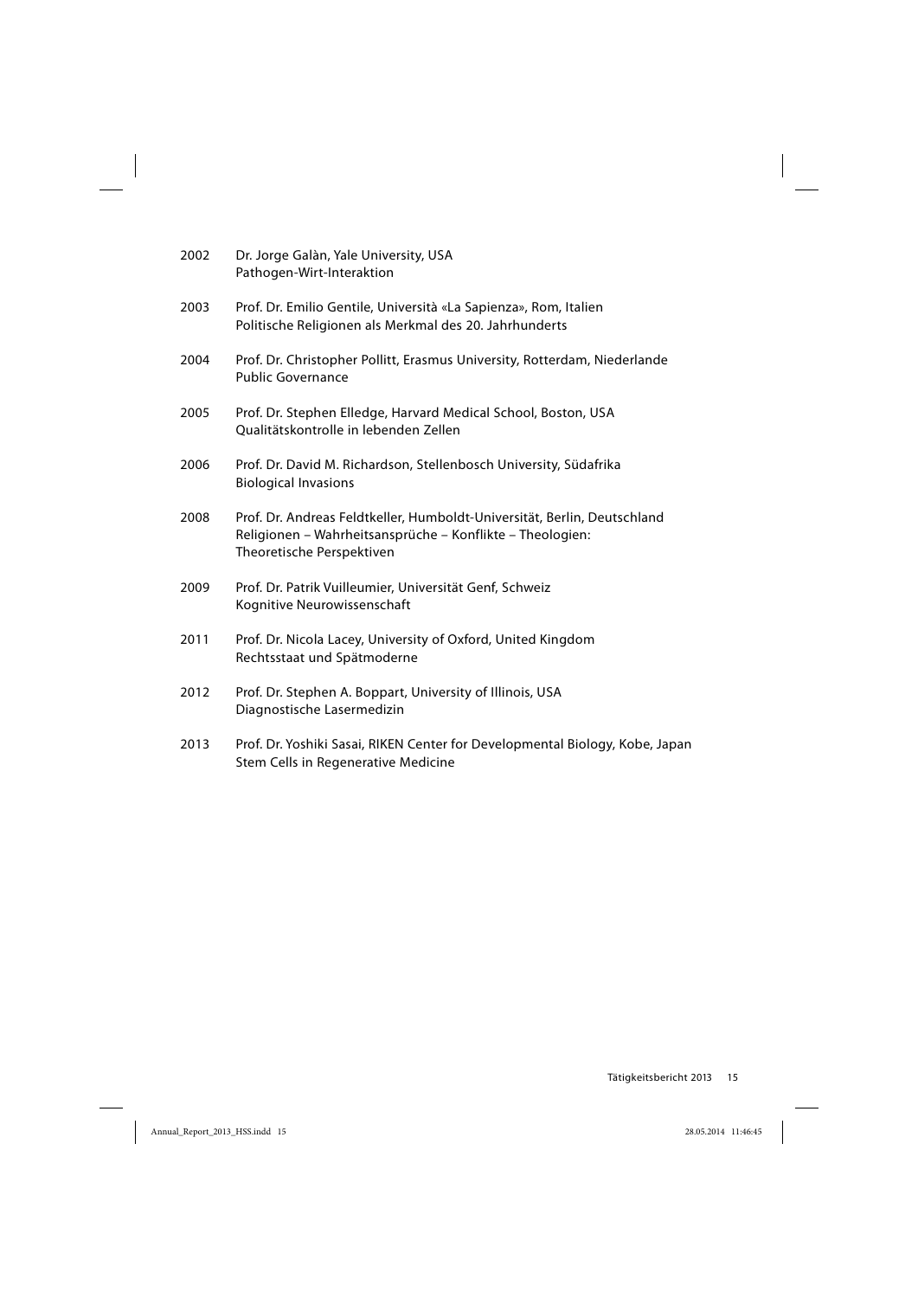| 2002 | Dr. Jorge Galàn, Yale University, USA<br>Pathogen-Wirt-Interaktion                                                                                                 |
|------|--------------------------------------------------------------------------------------------------------------------------------------------------------------------|
| 2003 | Prof. Dr. Emilio Gentile, Università «La Sapienza», Rom, Italien<br>Politische Religionen als Merkmal des 20. Jahrhunderts                                         |
| 2004 | Prof. Dr. Christopher Pollitt, Erasmus University, Rotterdam, Niederlande<br><b>Public Governance</b>                                                              |
| 2005 | Prof. Dr. Stephen Elledge, Harvard Medical School, Boston, USA<br>Qualitätskontrolle in lebenden Zellen                                                            |
| 2006 | Prof. Dr. David M. Richardson, Stellenbosch University, Südafrika<br><b>Biological Invasions</b>                                                                   |
| 2008 | Prof. Dr. Andreas Feldtkeller, Humboldt-Universität, Berlin, Deutschland<br>Religionen – Wahrheitsansprüche – Konflikte – Theologien:<br>Theoretische Perspektiven |
| 2009 | Prof. Dr. Patrik Vuilleumier, Universität Genf, Schweiz<br>Kognitive Neurowissenschaft                                                                             |
| 2011 | Prof. Dr. Nicola Lacey, University of Oxford, United Kingdom<br>Rechtsstaat und Spätmoderne                                                                        |
| 2012 | Prof. Dr. Stephen A. Boppart, University of Illinois, USA<br>Diagnostische Lasermedizin                                                                            |
| 2013 | Prof. Dr. Yoshiki Sasai, RIKEN Center for Developmental Biology, Kobe, Japan<br>Stem Cells in Regenerative Medicine                                                |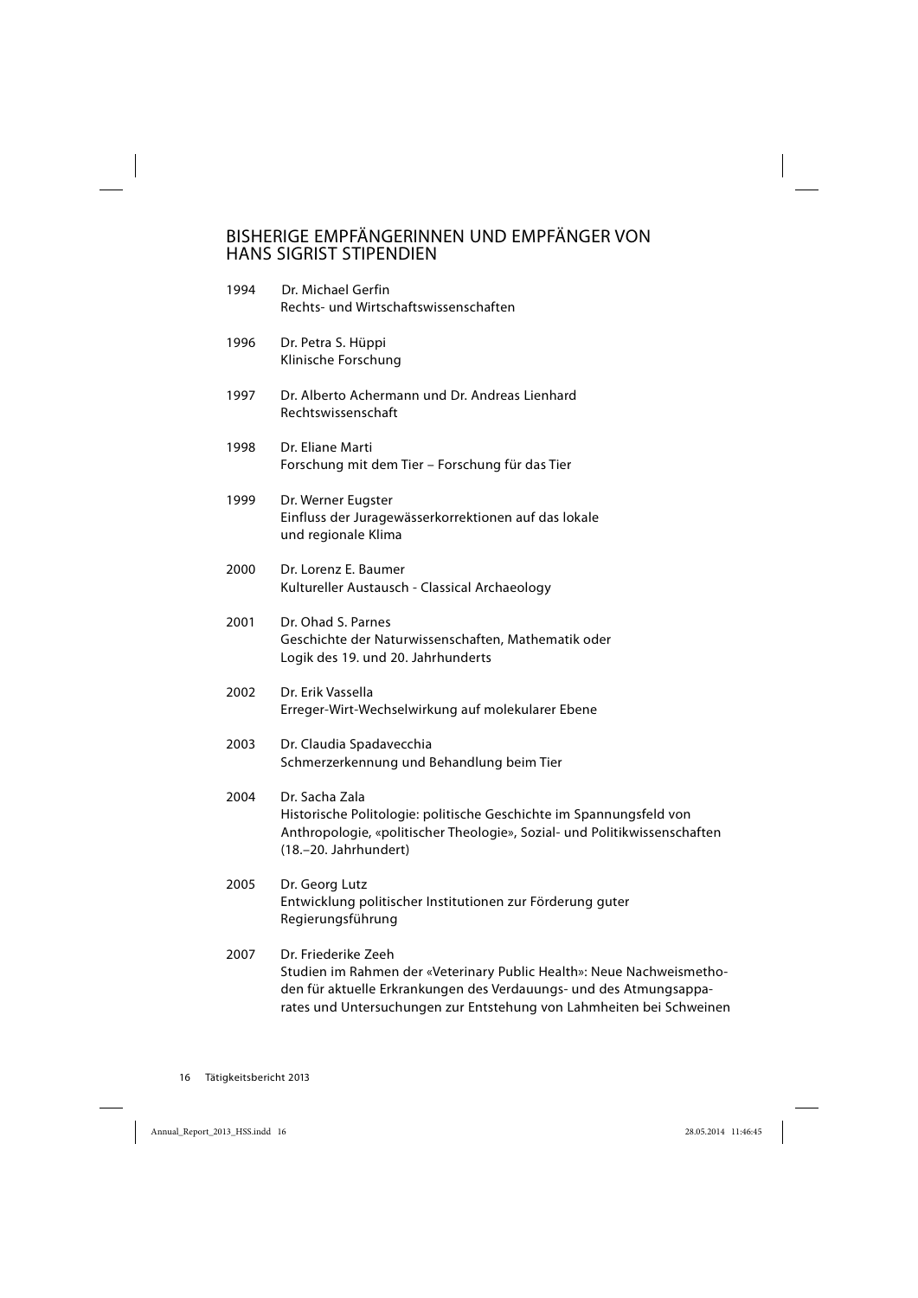## BISHERIGE EMPFÄNGERINNEN UND EMPFÄNGER VON HANS SIGRIST STIPENDIEN

| 1994 | Dr. Michael Gerfin<br>Rechts- und Wirtschaftswissenschaften                                                                                                                                                                                |
|------|--------------------------------------------------------------------------------------------------------------------------------------------------------------------------------------------------------------------------------------------|
| 1996 | Dr. Petra S. Hüppi<br>Klinische Forschung                                                                                                                                                                                                  |
| 1997 | Dr. Alberto Achermann und Dr. Andreas Lienhard<br>Rechtswissenschaft                                                                                                                                                                       |
| 1998 | Dr. Eliane Marti<br>Forschung mit dem Tier - Forschung für das Tier                                                                                                                                                                        |
| 1999 | Dr. Werner Eugster<br>Einfluss der Juragewässerkorrektionen auf das lokale<br>und regionale Klima                                                                                                                                          |
| 2000 | Dr. Lorenz E. Baumer<br>Kultureller Austausch - Classical Archaeology                                                                                                                                                                      |
| 2001 | Dr. Ohad S. Parnes<br>Geschichte der Naturwissenschaften, Mathematik oder<br>Logik des 19. und 20. Jahrhunderts                                                                                                                            |
| 2002 | Dr. Erik Vassella<br>Erreger-Wirt-Wechselwirkung auf molekularer Ebene                                                                                                                                                                     |
| 2003 | Dr. Claudia Spadavecchia<br>Schmerzerkennung und Behandlung beim Tier                                                                                                                                                                      |
| 2004 | Dr. Sacha Zala<br>Historische Politologie: politische Geschichte im Spannungsfeld von<br>Anthropologie, «politischer Theologie», Sozial- und Politikwissenschaften<br>(18 .- 20. Jahrhundert)                                              |
| 2005 | Dr. Georg Lutz<br>Entwicklung politischer Institutionen zur Förderung guter<br>Regierungsführung                                                                                                                                           |
| 2007 | Dr. Friederike Zeeh<br>Studien im Rahmen der «Veterinary Public Health»: Neue Nachweismetho-<br>den für aktuelle Erkrankungen des Verdauungs- und des Atmungsappa-<br>rates und Untersuchungen zur Entstehung von Lahmheiten bei Schweinen |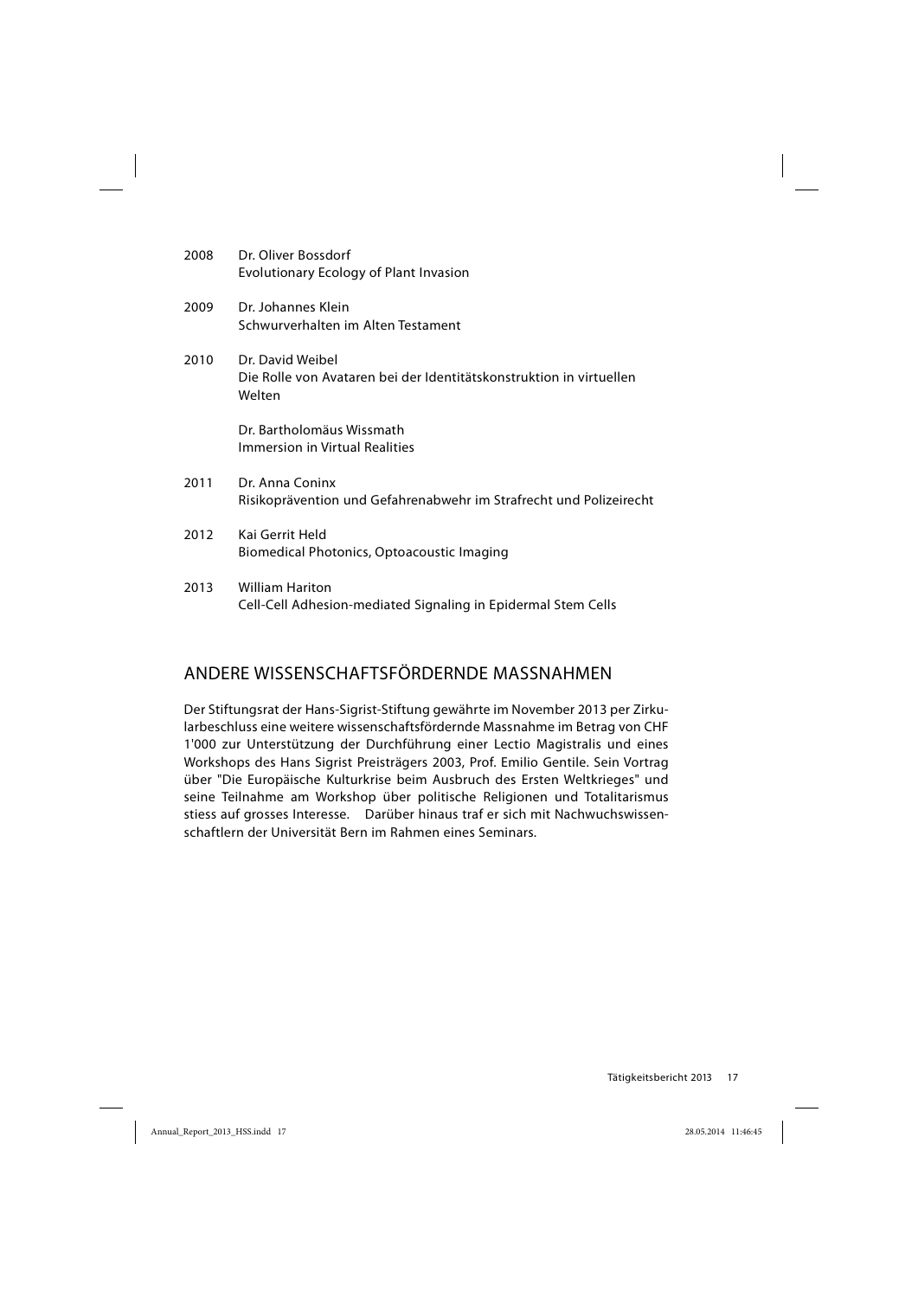| 2008 | Dr. Oliver Bossdorf<br>Evolutionary Ecology of Plant Invasion                                     |
|------|---------------------------------------------------------------------------------------------------|
| 2009 | Dr. Johannes Klein<br>Schwurverhalten im Alten Testament                                          |
| 2010 | Dr. David Weibel<br>Die Rolle von Avataren bei der Identitätskonstruktion in virtuellen<br>Welten |
|      | Dr. Bartholomäus Wissmath<br><b>Immersion in Virtual Realities</b>                                |
| 2011 | Dr. Anna Coninx<br>Risikoprävention und Gefahrenabwehr im Strafrecht und Polizeirecht             |
| 2012 | Kai Gerrit Held<br>Biomedical Photonics, Optoacoustic Imaging                                     |
| 2013 | <b>William Hariton</b><br>Cell-Cell Adhesion-mediated Signaling in Epidermal Stem Cells           |

## ANDERE WISSENSCHAFTSFÖRDERNDE MASSNAHMEN

Der Stiftungsrat der Hans-Sigrist-Stiftung gewährte im November 2013 per Zirkularbeschluss eine weitere wissenschaftsfördernde Massnahme im Betrag von CHF 1'000 zur Unterstützung der Durchführung einer Lectio Magistralis und eines Workshops des Hans Sigrist Preisträgers 2003, Prof. Emilio Gentile. Sein Vortrag über "Die Europäische Kulturkrise beim Ausbruch des Ersten Weltkrieges" und seine Teilnahme am Workshop über politische Religionen und Totalitarismus stiess auf grosses Interesse. Darüber hinaus traf er sich mit Nachwuchswissenschaftlern der Universität Bern im Rahmen eines Seminars.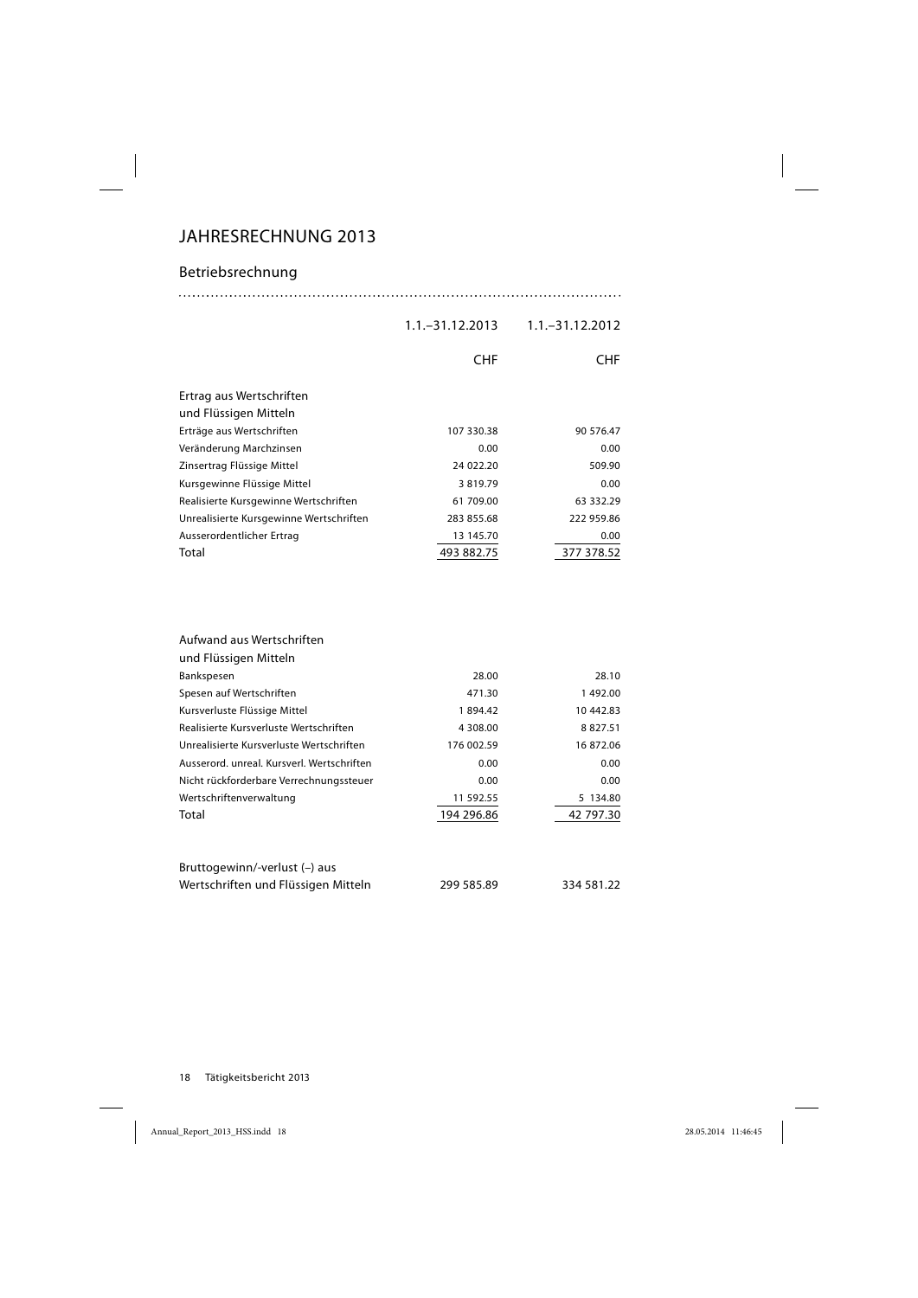## JAHRESRECHNUNG 2013

## Betriebsrechnung

1.1.–31.12.2013 1.1.–31.12.2012

|                                                   | <b>CHF</b> | <b>CHF</b> |
|---------------------------------------------------|------------|------------|
| Ertrag aus Wertschriften<br>und Flüssigen Mitteln |            |            |
| Erträge aus Wertschriften                         | 107 330.38 | 90 576.47  |
| Veränderung Marchzinsen                           | 0.00       | 0.00       |
| Zinsertrag Flüssige Mittel                        | 24 022.20  | 509.90     |
| Kursgewinne Flüssige Mittel                       | 3819.79    | 0.00       |
| Realisierte Kursgewinne Wertschriften             | 61 709.00  | 63 332.29  |
| Unrealisierte Kursgewinne Wertschriften           | 283 855.68 | 222 959.86 |
| Ausserordentlicher Ertrag                         | 13 145.70  | 0.00       |
| Total                                             | 493 882.75 | 377 378.52 |

| Aufwand aus Wertschriften                  |            |            |
|--------------------------------------------|------------|------------|
| und Flüssigen Mitteln                      |            |            |
| Bankspesen                                 | 28.00      | 28.10      |
| Spesen auf Wertschriften                   | 471.30     | 1492.00    |
| Kursverluste Flüssige Mittel               | 1894.42    | 10 442.83  |
| Realisierte Kursverluste Wertschriften     | 4 308.00   | 8827.51    |
| Unrealisierte Kursverluste Wertschriften   | 176 002.59 | 16 872.06  |
| Ausserord, unreal, Kursverl, Wertschriften | 0.00       | 0.00       |
| Nicht rückforderbare Verrechnungssteuer    | 0.00       | 0.00       |
| Wertschriftenverwaltung                    | 11 592.55  | 5 134.80   |
| Total                                      | 194 296.86 | 42 797.30  |
| Bruttogewinn/-verlust (-) aus              |            |            |
| Wertschriften und Flüssigen Mitteln        | 299 585.89 | 334 581.22 |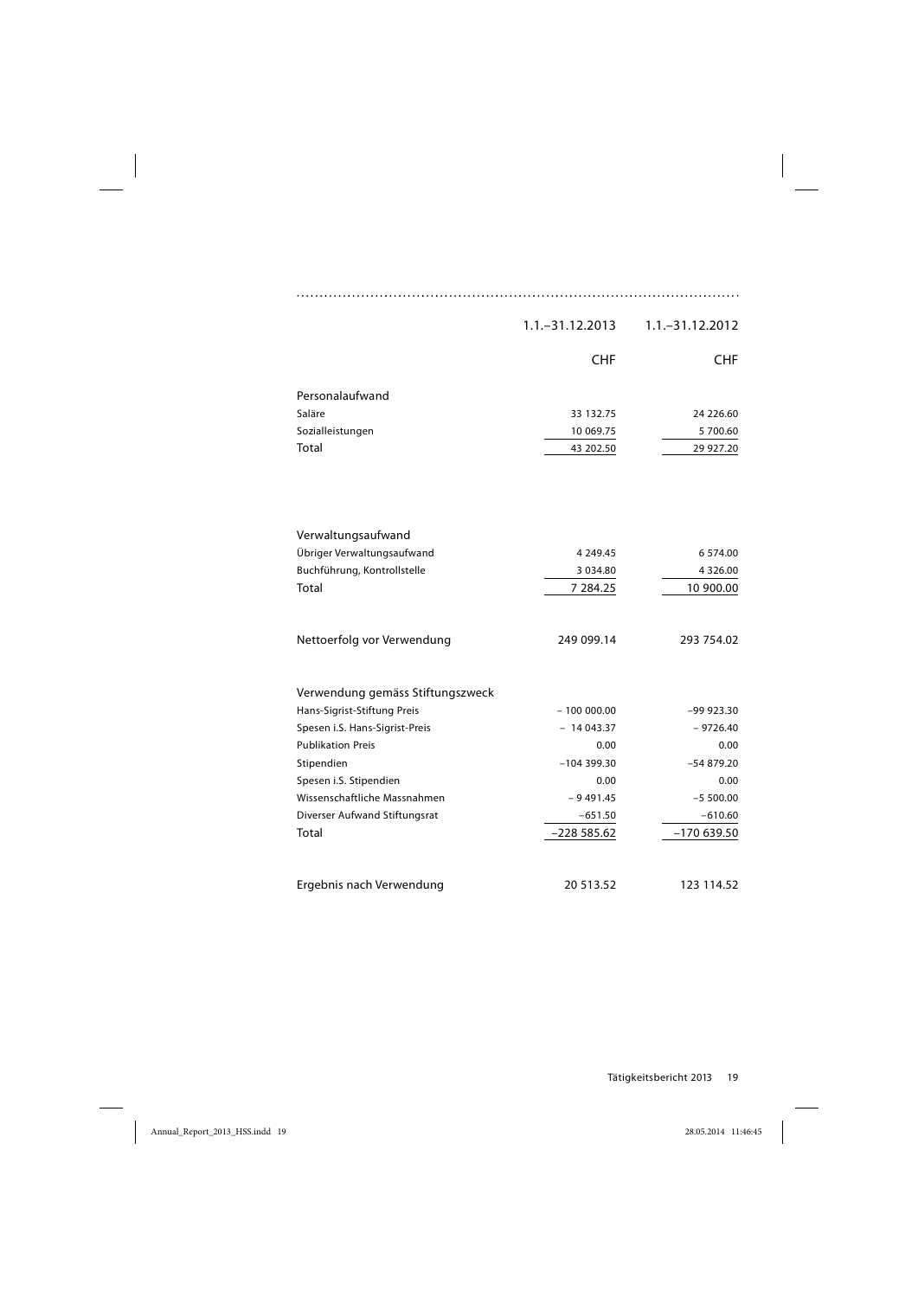|                                  | $1.1 - 31.12.2013$ | 1.1. - 31.12.2012 |
|----------------------------------|--------------------|-------------------|
|                                  | <b>CHF</b>         | <b>CHF</b>        |
| Personalaufwand                  |                    |                   |
| Saläre                           | 33 132.75          | 24 226.60         |
| Sozialleistungen                 | 10 069.75          | 5 700.60          |
| Total                            | 43 202.50          | 29 927.20         |
|                                  |                    |                   |
|                                  |                    |                   |
| Verwaltungsaufwand               |                    |                   |
| Übriger Verwaltungsaufwand       | 4 2 4 9 . 4 5      | 6 574.00          |
| Buchführung, Kontrollstelle      | 3 0 3 4 .80        | 4 3 2 6 .00       |
| Total                            | 7 284.25           | 10 900.00         |
| Nettoerfolg vor Verwendung       | 249 099.14         | 293 754.02        |
| Verwendung gemäss Stiftungszweck |                    |                   |
| Hans-Sigrist-Stiftung Preis      | $-100000000$       | $-99923.30$       |
| Spesen i.S. Hans-Sigrist-Preis   | $-14043.37$        | $-9726.40$        |
| <b>Publikation Preis</b>         | 0.00               | 0.00              |
| Stipendien                       | $-104399.30$       | $-54879.20$       |
| Spesen i.S. Stipendien           | 0.00               | 0.00              |
| Wissenschaftliche Massnahmen     | - 9 491.45         | $-5500.00$        |
| Diverser Aufwand Stiftungsrat    | $-651.50$          | $-610.60$         |
| Total                            | $-22855.62$        | $-170639.50$      |
|                                  |                    |                   |
| Ergebnis nach Verwendung         | 20 513.52          | 123 114.52        |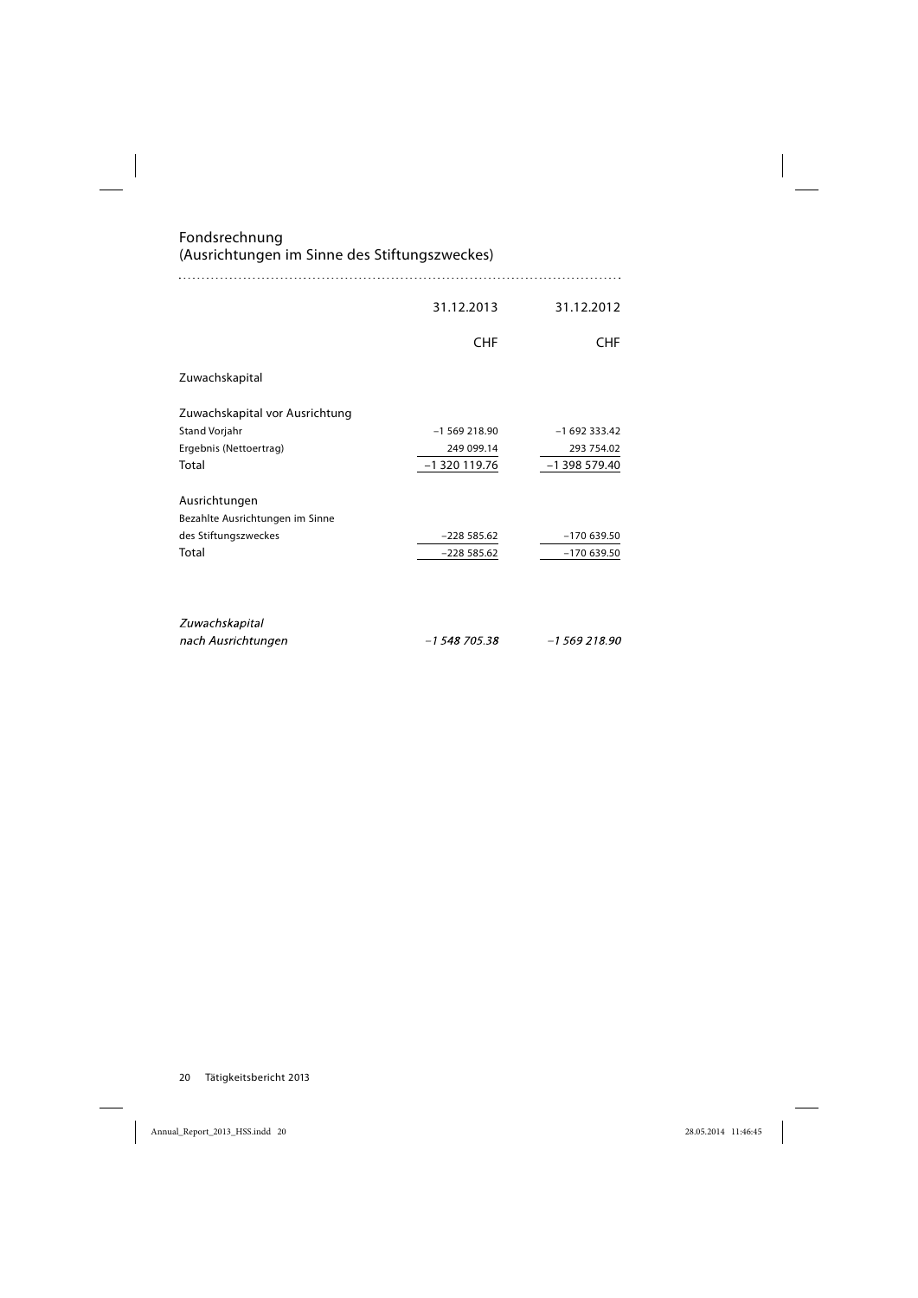Fondsrechnung (Ausrichtungen im Sinne des Stiftungszweckes)

|                                 | 31.12.2013    | 31.12.2012      |
|---------------------------------|---------------|-----------------|
|                                 | <b>CHF</b>    | <b>CHF</b>      |
| Zuwachskapital                  |               |                 |
| Zuwachskapital vor Ausrichtung  |               |                 |
| Stand Vorjahr                   | $-1569218.90$ | $-1692333.42$   |
| Ergebnis (Nettoertrag)          | 249 099.14    | 293 754.02      |
| Total                           | $-1320119.76$ | $-1$ 398 579.40 |
| Ausrichtungen                   |               |                 |
| Bezahlte Ausrichtungen im Sinne |               |                 |
| des Stiftungszweckes            | $-228585.62$  | $-170639.50$    |
| Total                           | $-22855.62$   | $-170639.50$    |
|                                 |               |                 |
| Zuwachskapital                  |               |                 |
| nach Ausrichtungen              | $-1548705.38$ | $-1569218.90$   |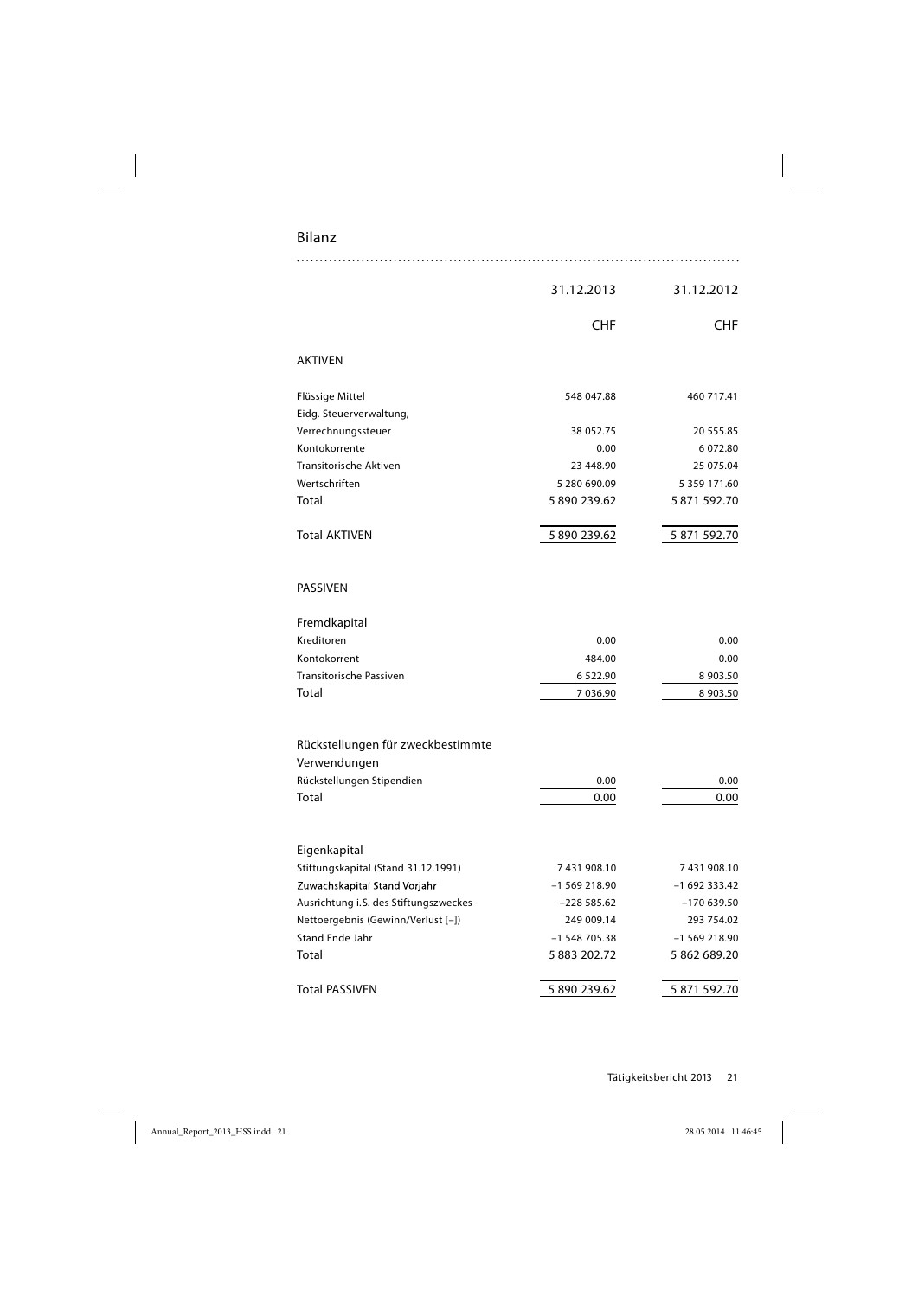## Bilanz

|                                                   | 31.12.2013    | 31.12.2012    |
|---------------------------------------------------|---------------|---------------|
|                                                   | CHF           | <b>CHF</b>    |
| <b>AKTIVEN</b>                                    |               |               |
| Flüssige Mittel                                   | 548 047.88    | 460 717.41    |
| Eidg. Steuerverwaltung,                           |               |               |
| Verrechnungssteuer                                | 38 052.75     | 20 555.85     |
| Kontokorrente                                     | 0.00          | 6 072.80      |
| <b>Transitorische Aktiven</b>                     | 23 448.90     | 25 075.04     |
| Wertschriften                                     | 5 280 690.09  | 5 359 171.60  |
| Total                                             | 5890239.62    | 5871592.70    |
| <b>Total AKTIVEN</b>                              | 5890239.62    | 5 871 592.70  |
| PASSIVEN                                          |               |               |
| Fremdkapital                                      |               |               |
| Kreditoren                                        | 0.00          | 0.00          |
| Kontokorrent                                      | 484.00        | 0.00          |
| Transitorische Passiven                           | 6 5 2 2.90    | 8 903.50      |
| Total                                             | 7 036.90      | 8 903.50      |
| Rückstellungen für zweckbestimmte<br>Verwendungen |               |               |
| Rückstellungen Stipendien                         | 0.00          | 0.00          |
| Total                                             | 0.00          | 0.00          |
| Eigenkapital                                      |               |               |
| Stiftungskapital (Stand 31.12.1991)               | 7431908.10    | 7431908.10    |
| Zuwachskapital Stand Vorjahr                      | $-1569218.90$ | $-1692333.42$ |
| Ausrichtung i.S. des Stiftungszweckes             | $-22855.62$   | $-170639.50$  |
| Nettoergebnis (Gewinn/Verlust [-])                | 249 009.14    | 293 754.02    |
| Stand Ende Jahr                                   | $-1548705.38$ | $-1569218.90$ |
| Total                                             | 5 883 202.72  | 5 862 689.20  |
| <b>Total PASSIVEN</b>                             | 5890239.62    | 5 871 592.70  |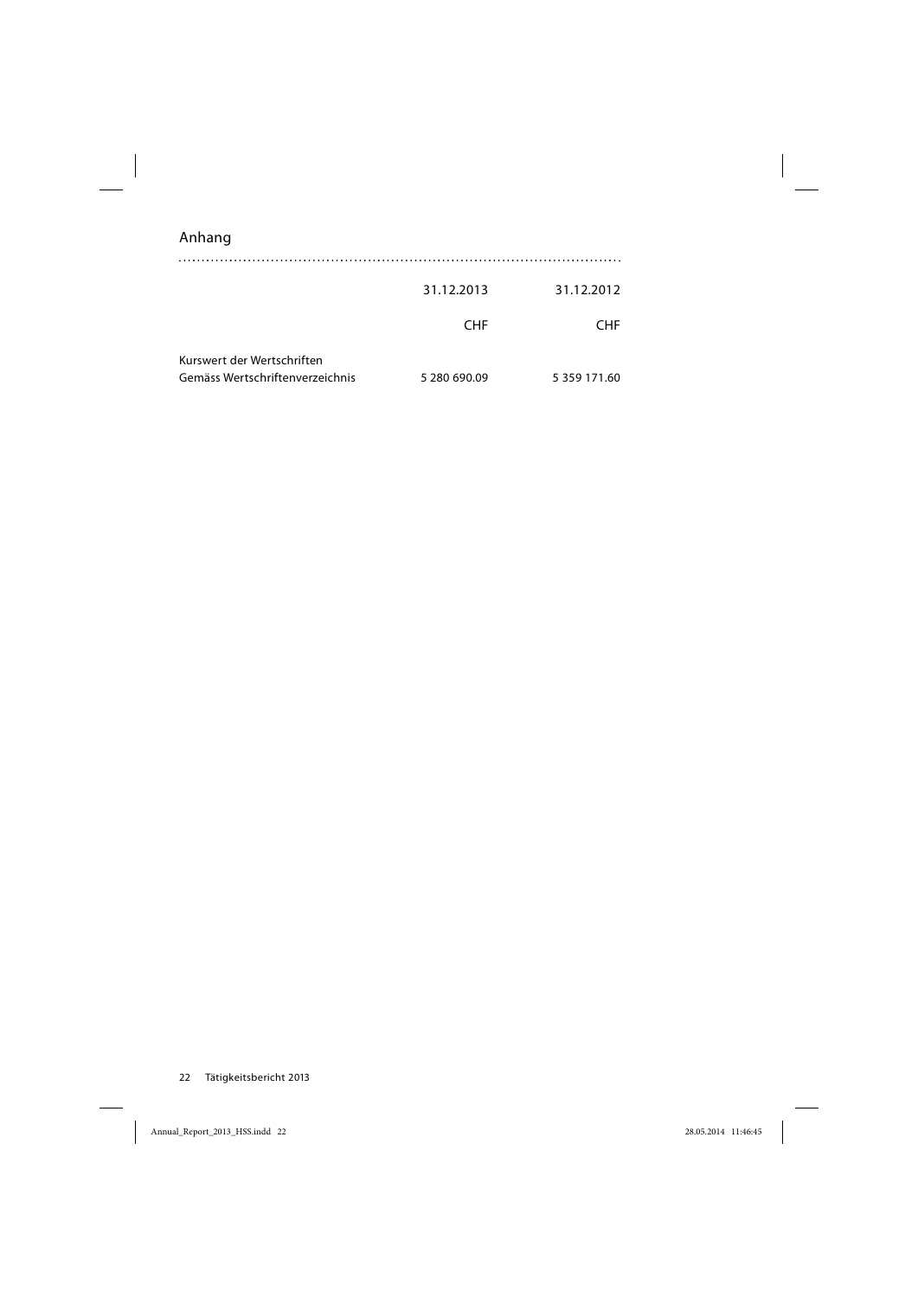| Anhang |
|--------|
|        |

|                                                               | 31.12.2013   | 31.12.2012   |
|---------------------------------------------------------------|--------------|--------------|
|                                                               | <b>CHF</b>   | <b>CHF</b>   |
| Kurswert der Wertschriften<br>Gemäss Wertschriftenverzeichnis | 5 280 690.09 | 5 359 171.60 |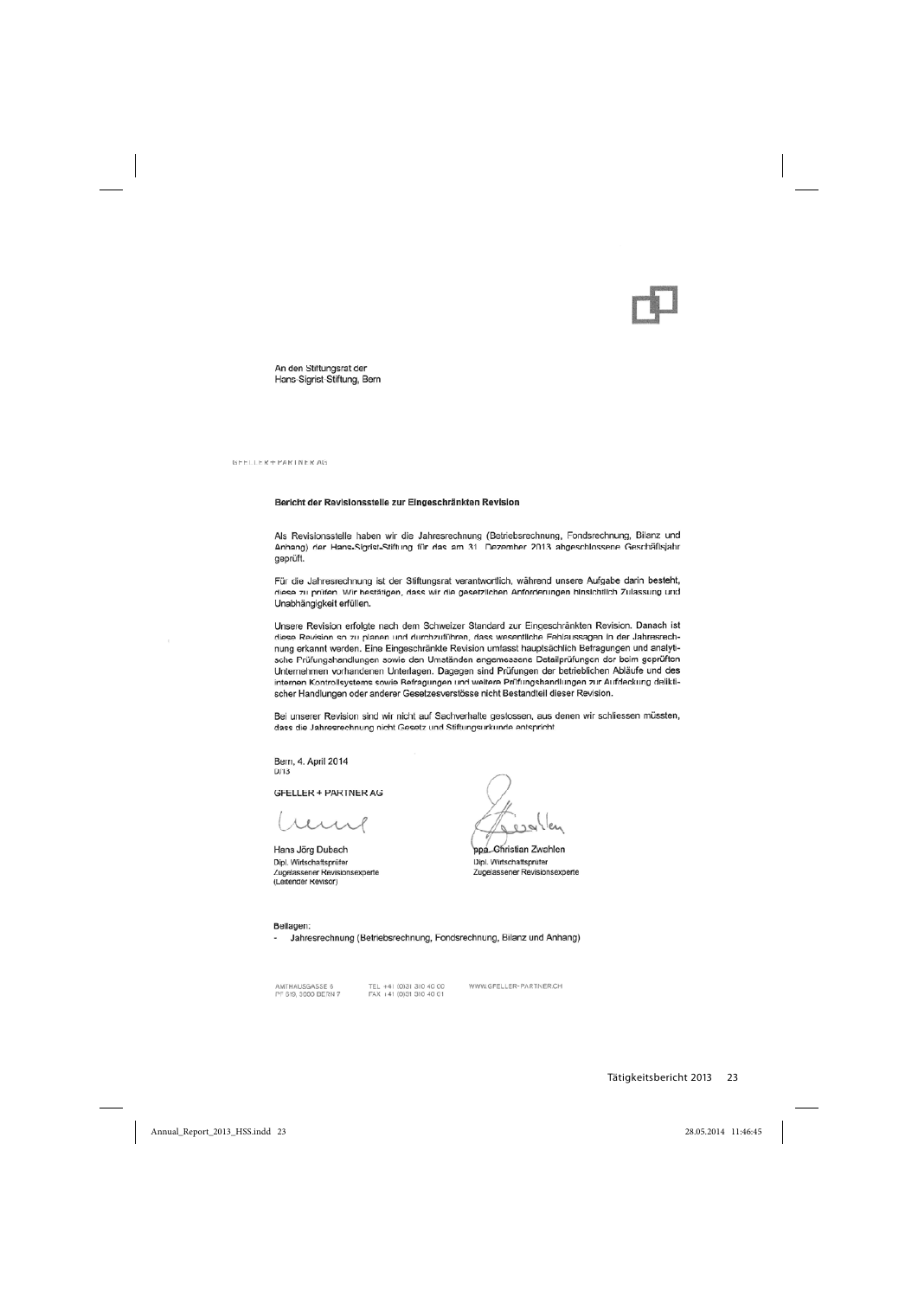An den Stiftungsrat der Hans-Sigrist-Stiftung, Bern

GEELLER + PARTNER AG

#### Bericht der Revisionsstelle zur Eingeschränkten Revision

Als Revisionsstelle haben wir die Jahresrechnung (Betriebsrechnung, Fondsrechnung, Bilanz und Anhang) der Hans-Sigrist-Stiftung für das am 31. Dezember 2013 abgeschlossene Geschäftsjahr geprüft.

Für die Jahresrechnung ist der Stiftungsrat verantwortlich, während unsere Aufgabe darin besteht, diese zu prüfen. Wir bestätigen, dass wir die gesetzlichen Anforderungen hinsichtlich Zulassung und Unabhängigkeit erfüllen.

Unsere Revision erfolgte nach dem Schweizer Standard zur Eingeschränkten Revision. Danach ist diese Revision so zu planen und durchzuführen, dass wesentliche Fehlaussagen in der Jahresrechnung erkannt werden. Eine Eingeschränkte Revision umfasst hauptsächlich Befragungen und analytische Prüfungshandlungen sowie den Umständen angemessene Detailprüfungen der beim geprüften Unternehmen vorhandenen Unterlagen. Dagegen sind Prüfungen der betrieblichen Abläufe und des internen Kontrollsystems sowie Befragungen und weitere Prüfungshandlungen zur Aufdeckung deliktischer Handlungen oder anderer Gesetzesverstösse nicht Bestandteil dieser Revision.

Bei unserer Revision sind wir nicht auf Sachverhalte gestossen, aus denen wir schliessen müssten, dass die Jahresrechnung nicht Gesetz und Stiftungsurkunde entspricht.

Bern, 4. April 2014  $D/13$ 

**GFELLER + PARTNER AG** 

 $\lambda$   $\lambda$   $\lambda$ 

Hans Jörg Dubach Dipl. Wirtschaftsprüfer Zugelassener Revisionsexperte (Leitender Revisor)

Christian Zwahlen ppa Dipl. Wirtschaftsprüfer Zugelassener Revisionsexperte

#### Beilagen:

- Jahresrechnung (Betriebsrechnung, Fondsrechnung, Bilanz und Anhang)

AMTHAUSGASSE 6 PF 619, 3000 BERN 7 TEL +41 (0)31 310 40 00<br>FAX +41 (0)31 310 40 01

WWW.GFELLER-PARTNER.CH